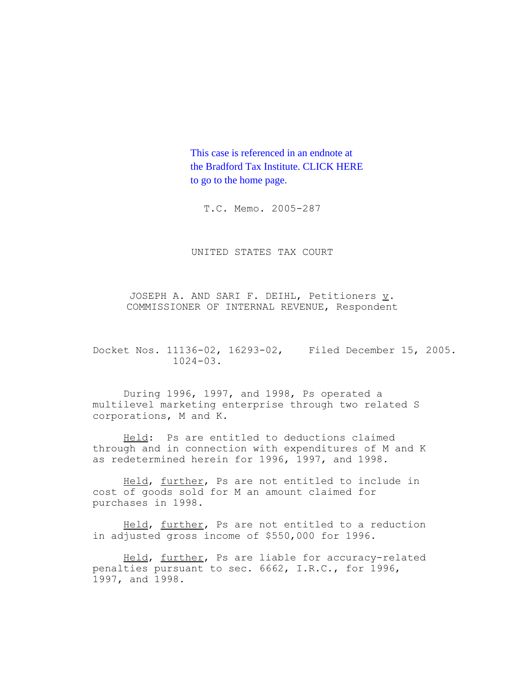This case is referenced in an endnote at [the Bradford Tax Institute. CLICK HERE](http://www.bradfordtaxinstitute.com/)  to go to the home page.

T.C. Memo. 2005-287

UNITED STATES TAX COURT

JOSEPH A. AND SARI F. DEIHL, Petitioners v. COMMISSIONER OF INTERNAL REVENUE, Respondent

Docket Nos. 11136-02, 16293-02, Filed December 15, 2005.  $1024 - 03$ .

During 1996, 1997, and 1998, Ps operated a multilevel marketing enterprise through two related S corporations, M and K.

Held: Ps are entitled to deductions claimed through and in connection with expenditures of M and K as redetermined herein for 1996, 1997, and 1998.

Held, further, Ps are not entitled to include in cost of goods sold for M an amount claimed for purchases in 1998.

Held, further, Ps are not entitled to a reduction in adjusted gross income of \$550,000 for 1996.

Held, further, Ps are liable for accuracy-related penalties pursuant to sec. 6662, I.R.C., for 1996, 1997, and 1998.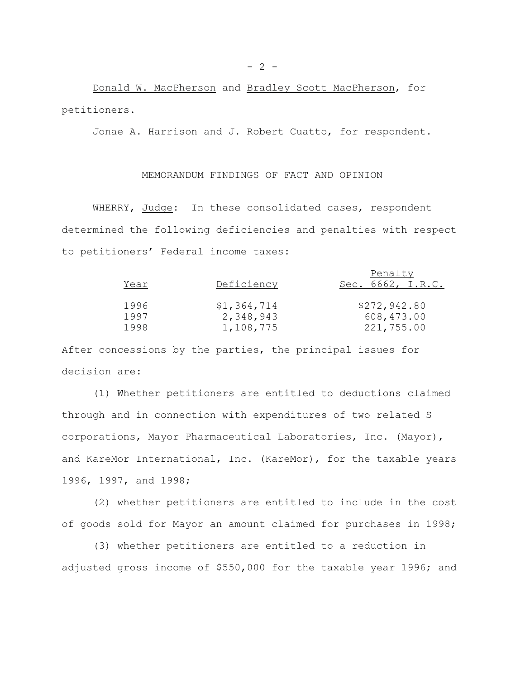Donald W. MacPherson and Bradley Scott MacPherson, for petitioners.

Jonae A. Harrison and J. Robert Cuatto, for respondent.

# MEMORANDUM FINDINGS OF FACT AND OPINION

WHERRY, Judge: In these consolidated cases, respondent determined the following deficiencies and penalties with respect to petitioners' Federal income taxes:

| Year | Deficiency  | Penalty<br>Sec. 6662, I.R.C. |
|------|-------------|------------------------------|
| 1996 | \$1,364,714 | \$272,942.80                 |
| 1997 | 2,348,943   | 608,473.00                   |
| 1998 | 1,108,775   | 221,755.00                   |

After concessions by the parties, the principal issues for decision are:

(1) Whether petitioners are entitled to deductions claimed through and in connection with expenditures of two related S corporations, Mayor Pharmaceutical Laboratories, Inc. (Mayor), and KareMor International, Inc. (KareMor), for the taxable years 1996, 1997, and 1998;

(2) whether petitioners are entitled to include in the cost of goods sold for Mayor an amount claimed for purchases in 1998;

(3) whether petitioners are entitled to a reduction in adjusted gross income of \$550,000 for the taxable year 1996; and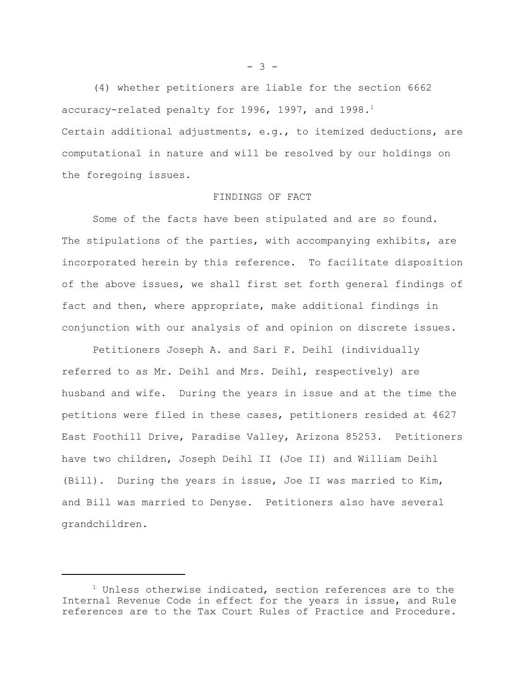(4) whether petitioners are liable for the section 6662 accuracy-related penalty for 1996, 1997, and  $1998.^1$ Certain additional adjustments, e.g., to itemized deductions, are computational in nature and will be resolved by our holdings on the foregoing issues.

#### FINDINGS OF FACT

Some of the facts have been stipulated and are so found. The stipulations of the parties, with accompanying exhibits, are incorporated herein by this reference. To facilitate disposition of the above issues, we shall first set forth general findings of fact and then, where appropriate, make additional findings in conjunction with our analysis of and opinion on discrete issues.

Petitioners Joseph A. and Sari F. Deihl (individually referred to as Mr. Deihl and Mrs. Deihl, respectively) are husband and wife. During the years in issue and at the time the petitions were filed in these cases, petitioners resided at 4627 East Foothill Drive, Paradise Valley, Arizona 85253. Petitioners have two children, Joseph Deihl II (Joe II) and William Deihl (Bill). During the years in issue, Joe II was married to Kim, and Bill was married to Denyse. Petitioners also have several grandchildren.

 $- 3 -$ 

 $1$  Unless otherwise indicated, section references are to the Internal Revenue Code in effect for the years in issue, and Rule references are to the Tax Court Rules of Practice and Procedure.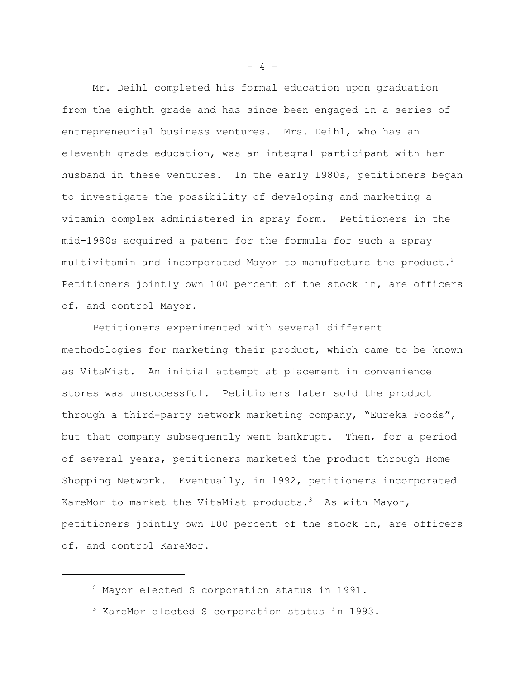Mr. Deihl completed his formal education upon graduation from the eighth grade and has since been engaged in a series of entrepreneurial business ventures. Mrs. Deihl, who has an eleventh grade education, was an integral participant with her husband in these ventures. In the early 1980s, petitioners began to investigate the possibility of developing and marketing a vitamin complex administered in spray form. Petitioners in the mid-1980s acquired a patent for the formula for such a spray multivitamin and incorporated Mayor to manufacture the product.<sup>2</sup> Petitioners jointly own 100 percent of the stock in, are officers of, and control Mayor.

Petitioners experimented with several different methodologies for marketing their product, which came to be known as VitaMist. An initial attempt at placement in convenience stores was unsuccessful. Petitioners later sold the product through a third-party network marketing company, "Eureka Foods", but that company subsequently went bankrupt. Then, for a period of several years, petitioners marketed the product through Home Shopping Network. Eventually, in 1992, petitioners incorporated KareMor to market the VitaMist products.<sup>3</sup> As with Mayor, petitioners jointly own 100 percent of the stock in, are officers of, and control KareMor.

 $- 4 -$ 

<sup>2</sup> Mayor elected S corporation status in 1991.

<sup>3</sup> KareMor elected S corporation status in 1993.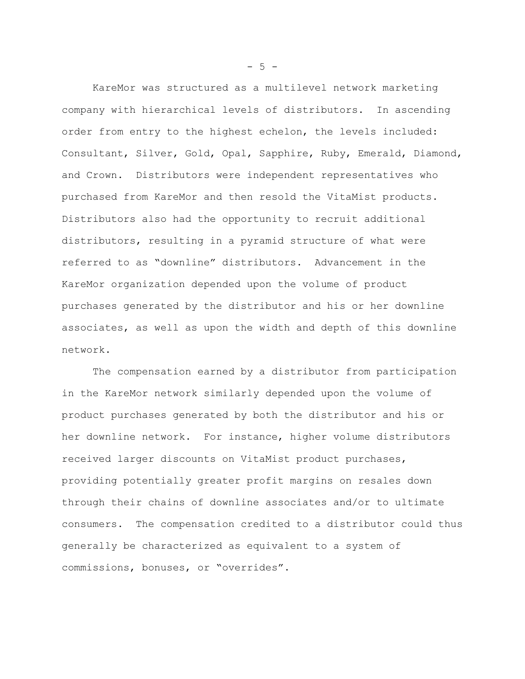KareMor was structured as a multilevel network marketing company with hierarchical levels of distributors. In ascending order from entry to the highest echelon, the levels included: Consultant, Silver, Gold, Opal, Sapphire, Ruby, Emerald, Diamond, and Crown. Distributors were independent representatives who purchased from KareMor and then resold the VitaMist products. Distributors also had the opportunity to recruit additional distributors, resulting in a pyramid structure of what were referred to as "downline" distributors. Advancement in the KareMor organization depended upon the volume of product purchases generated by the distributor and his or her downline associates, as well as upon the width and depth of this downline network.

The compensation earned by a distributor from participation in the KareMor network similarly depended upon the volume of product purchases generated by both the distributor and his or her downline network. For instance, higher volume distributors received larger discounts on VitaMist product purchases, providing potentially greater profit margins on resales down through their chains of downline associates and/or to ultimate consumers. The compensation credited to a distributor could thus generally be characterized as equivalent to a system of commissions, bonuses, or "overrides".

 $-5 -$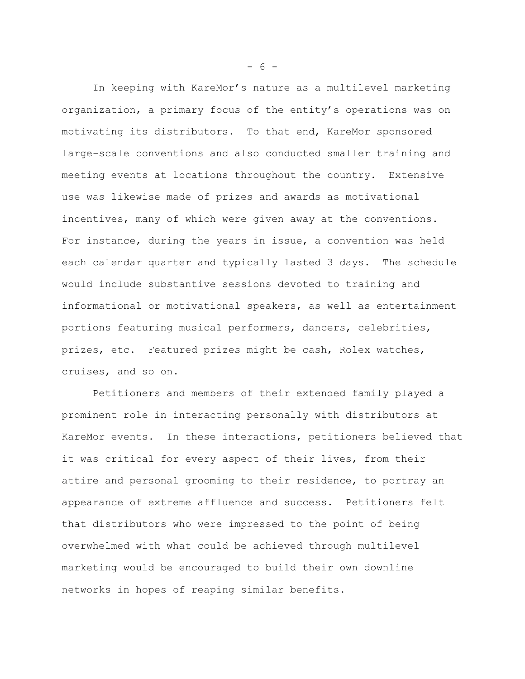In keeping with KareMor's nature as a multilevel marketing organization, a primary focus of the entity's operations was on motivating its distributors. To that end, KareMor sponsored large-scale conventions and also conducted smaller training and meeting events at locations throughout the country. Extensive use was likewise made of prizes and awards as motivational incentives, many of which were given away at the conventions. For instance, during the years in issue, a convention was held each calendar quarter and typically lasted 3 days. The schedule would include substantive sessions devoted to training and informational or motivational speakers, as well as entertainment portions featuring musical performers, dancers, celebrities, prizes, etc. Featured prizes might be cash, Rolex watches, cruises, and so on.

Petitioners and members of their extended family played a prominent role in interacting personally with distributors at KareMor events. In these interactions, petitioners believed that it was critical for every aspect of their lives, from their attire and personal grooming to their residence, to portray an appearance of extreme affluence and success. Petitioners felt that distributors who were impressed to the point of being overwhelmed with what could be achieved through multilevel marketing would be encouraged to build their own downline networks in hopes of reaping similar benefits.

 $- 6 -$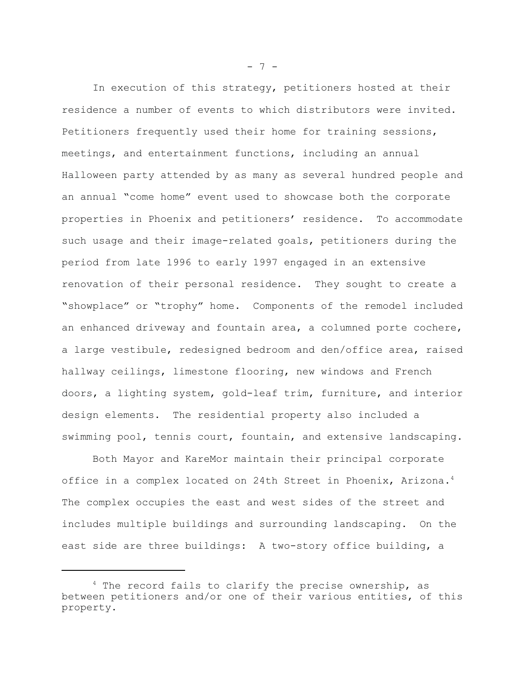In execution of this strategy, petitioners hosted at their residence a number of events to which distributors were invited. Petitioners frequently used their home for training sessions, meetings, and entertainment functions, including an annual Halloween party attended by as many as several hundred people and an annual "come home" event used to showcase both the corporate properties in Phoenix and petitioners' residence. To accommodate such usage and their image-related goals, petitioners during the period from late 1996 to early 1997 engaged in an extensive renovation of their personal residence. They sought to create a "showplace" or "trophy" home. Components of the remodel included an enhanced driveway and fountain area, a columned porte cochere, a large vestibule, redesigned bedroom and den/office area, raised hallway ceilings, limestone flooring, new windows and French doors, a lighting system, gold-leaf trim, furniture, and interior design elements. The residential property also included a swimming pool, tennis court, fountain, and extensive landscaping.

Both Mayor and KareMor maintain their principal corporate office in a complex located on 24th Street in Phoenix, Arizona.<sup>4</sup> The complex occupies the east and west sides of the street and includes multiple buildings and surrounding landscaping. On the east side are three buildings: A two-story office building, a

 $- 7 -$ 

 $4$  The record fails to clarify the precise ownership, as between petitioners and/or one of their various entities, of this property.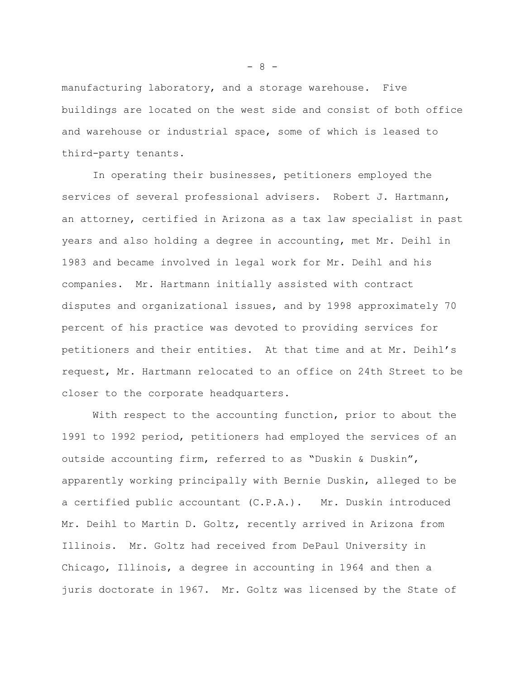manufacturing laboratory, and a storage warehouse. Five buildings are located on the west side and consist of both office and warehouse or industrial space, some of which is leased to third-party tenants.

In operating their businesses, petitioners employed the services of several professional advisers. Robert J. Hartmann, an attorney, certified in Arizona as a tax law specialist in past years and also holding a degree in accounting, met Mr. Deihl in 1983 and became involved in legal work for Mr. Deihl and his companies. Mr. Hartmann initially assisted with contract disputes and organizational issues, and by 1998 approximately 70 percent of his practice was devoted to providing services for petitioners and their entities. At that time and at Mr. Deihl's request, Mr. Hartmann relocated to an office on 24th Street to be closer to the corporate headquarters.

With respect to the accounting function, prior to about the 1991 to 1992 period, petitioners had employed the services of an outside accounting firm, referred to as "Duskin & Duskin", apparently working principally with Bernie Duskin, alleged to be a certified public accountant (C.P.A.). Mr. Duskin introduced Mr. Deihl to Martin D. Goltz, recently arrived in Arizona from Illinois. Mr. Goltz had received from DePaul University in Chicago, Illinois, a degree in accounting in 1964 and then a juris doctorate in 1967. Mr. Goltz was licensed by the State of

- 8 -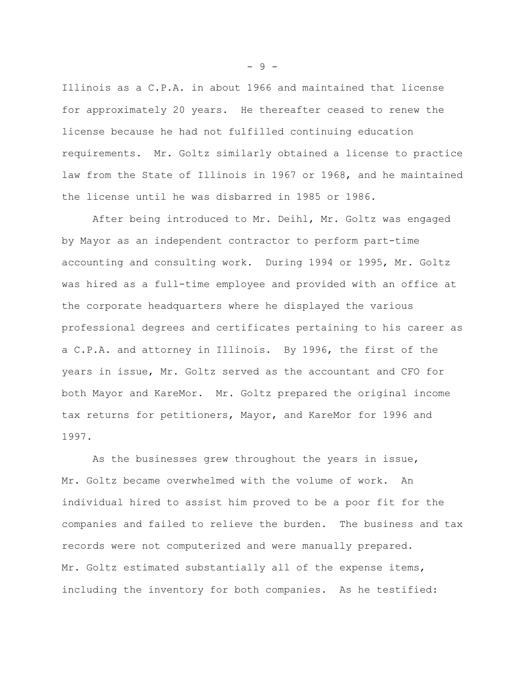Illinois as a C.P.A. in about 1966 and maintained that license for approximately 20 years. He thereafter ceased to renew the license because he had not fulfilled continuing education requirements. Mr. Goltz similarly obtained a license to practice law from the State of Illinois in 1967 or 1968, and he maintained the license until he was disbarred in 1985 or 1986.

After being introduced to Mr. Deihl, Mr. Goltz was engaged by Mayor as an independent contractor to perform part-time accounting and consulting work. During 1994 or 1995, Mr. Goltz was hired as a full-time employee and provided with an office at the corporate headquarters where he displayed the various professional degrees and certificates pertaining to his career as a C.P.A. and attorney in Illinois. By 1996, the first of the years in issue, Mr. Goltz served as the accountant and CFO for both Mayor and KareMor. Mr. Goltz prepared the original income tax returns for petitioners, Mayor, and KareMor for 1996 and 1997.

As the businesses grew throughout the years in issue, Mr. Goltz became overwhelmed with the volume of work. An individual hired to assist him proved to be a poor fit for the companies and failed to relieve the burden. The business and tax records were not computerized and were manually prepared. Mr. Goltz estimated substantially all of the expense items, including the inventory for both companies. As he testified:

- 9 -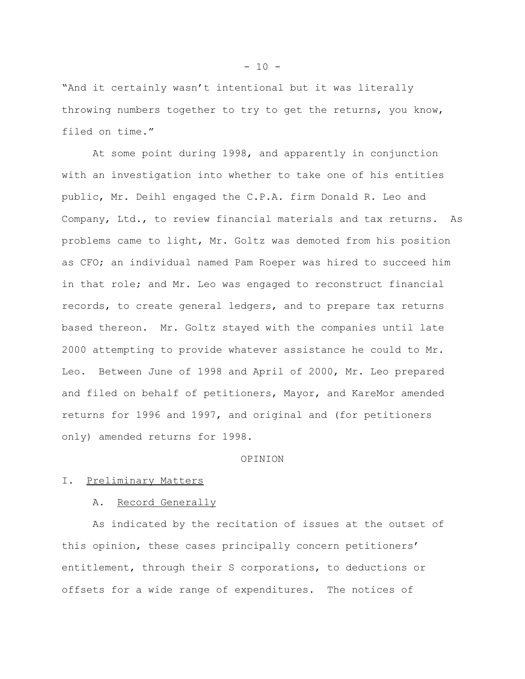"And it certainly wasn't intentional but it was literally throwing numbers together to try to get the returns, you know, filed on time."

At some point during 1998, and apparently in conjunction with an investigation into whether to take one of his entities public, Mr. Deihl engaged the C.P.A. firm Donald R. Leo and Company, Ltd., to review financial materials and tax returns. As problems came to light, Mr. Goltz was demoted from his position as CFO; an individual named Pam Roeper was hired to succeed him in that role; and Mr. Leo was engaged to reconstruct financial records, to create general ledgers, and to prepare tax returns based thereon. Mr. Goltz stayed with the companies until late 2000 attempting to provide whatever assistance he could to Mr. Leo. Between June of 1998 and April of 2000, Mr. Leo prepared and filed on behalf of petitioners, Mayor, and KareMor amended returns for 1996 and 1997, and original and (for petitioners only) amended returns for 1998.

### OPINION

### I. Preliminary Matters

#### A. Record Generally

As indicated by the recitation of issues at the outset of this opinion, these cases principally concern petitioners' entitlement, through their S corporations, to deductions or offsets for a wide range of expenditures. The notices of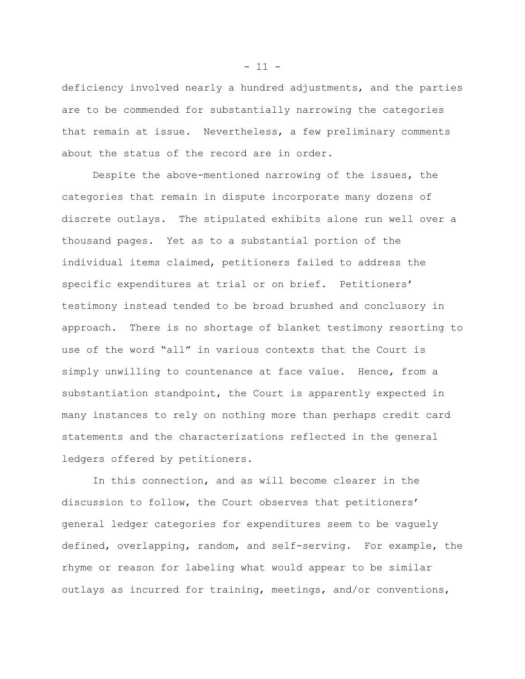deficiency involved nearly a hundred adjustments, and the parties are to be commended for substantially narrowing the categories that remain at issue. Nevertheless, a few preliminary comments about the status of the record are in order.

Despite the above-mentioned narrowing of the issues, the categories that remain in dispute incorporate many dozens of discrete outlays. The stipulated exhibits alone run well over a thousand pages. Yet as to a substantial portion of the individual items claimed, petitioners failed to address the specific expenditures at trial or on brief. Petitioners' testimony instead tended to be broad brushed and conclusory in approach. There is no shortage of blanket testimony resorting to use of the word "all" in various contexts that the Court is simply unwilling to countenance at face value. Hence, from a substantiation standpoint, the Court is apparently expected in many instances to rely on nothing more than perhaps credit card statements and the characterizations reflected in the general ledgers offered by petitioners.

In this connection, and as will become clearer in the discussion to follow, the Court observes that petitioners' general ledger categories for expenditures seem to be vaguely defined, overlapping, random, and self-serving. For example, the rhyme or reason for labeling what would appear to be similar outlays as incurred for training, meetings, and/or conventions,

 $- 11 -$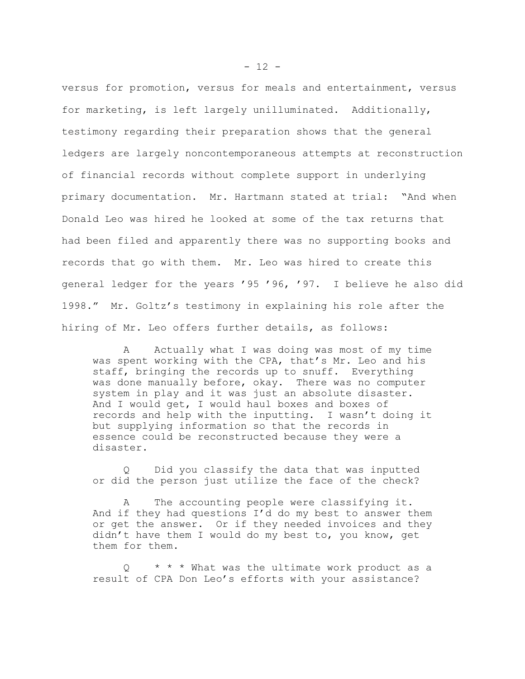versus for promotion, versus for meals and entertainment, versus for marketing, is left largely unilluminated. Additionally, testimony regarding their preparation shows that the general ledgers are largely noncontemporaneous attempts at reconstruction of financial records without complete support in underlying primary documentation. Mr. Hartmann stated at trial: "And when Donald Leo was hired he looked at some of the tax returns that had been filed and apparently there was no supporting books and records that go with them. Mr. Leo was hired to create this general ledger for the years '95 '96, '97. I believe he also did 1998." Mr. Goltz's testimony in explaining his role after the hiring of Mr. Leo offers further details, as follows:

A Actually what I was doing was most of my time was spent working with the CPA, that's Mr. Leo and his staff, bringing the records up to snuff. Everything was done manually before, okay. There was no computer system in play and it was just an absolute disaster. And I would get, I would haul boxes and boxes of records and help with the inputting. I wasn't doing it but supplying information so that the records in essence could be reconstructed because they were a disaster.

Q Did you classify the data that was inputted or did the person just utilize the face of the check?

A The accounting people were classifying it. And if they had questions I'd do my best to answer them or get the answer. Or if they needed invoices and they didn't have them I would do my best to, you know, get them for them.

\* \* \* What was the ultimate work product as a result of CPA Don Leo's efforts with your assistance?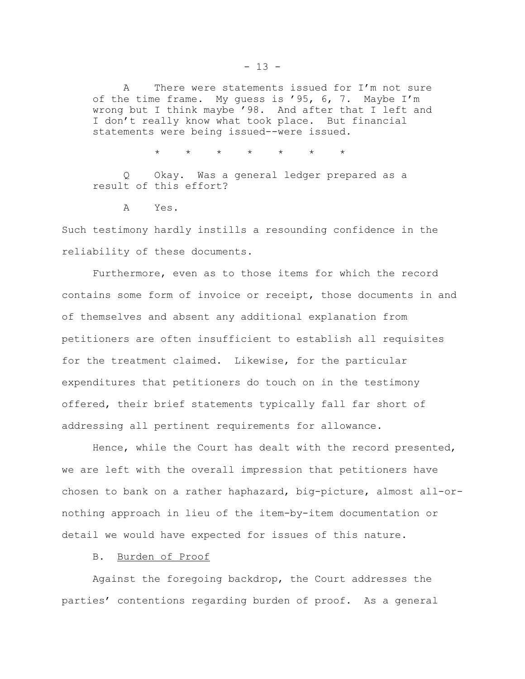A There were statements issued for I'm not sure of the time frame. My guess is '95, 6, 7. Maybe I'm wrong but I think maybe '98. And after that I left and I don't really know what took place. But financial statements were being issued--were issued.

\* \* \* \* \* \* \*

Q Okay. Was a general ledger prepared as a result of this effort?

A Yes.

Such testimony hardly instills a resounding confidence in the reliability of these documents.

Furthermore, even as to those items for which the record contains some form of invoice or receipt, those documents in and of themselves and absent any additional explanation from petitioners are often insufficient to establish all requisites for the treatment claimed. Likewise, for the particular expenditures that petitioners do touch on in the testimony offered, their brief statements typically fall far short of addressing all pertinent requirements for allowance.

Hence, while the Court has dealt with the record presented, we are left with the overall impression that petitioners have chosen to bank on a rather haphazard, big-picture, almost all-ornothing approach in lieu of the item-by-item documentation or detail we would have expected for issues of this nature.

B. Burden of Proof

Against the foregoing backdrop, the Court addresses the parties' contentions regarding burden of proof. As a general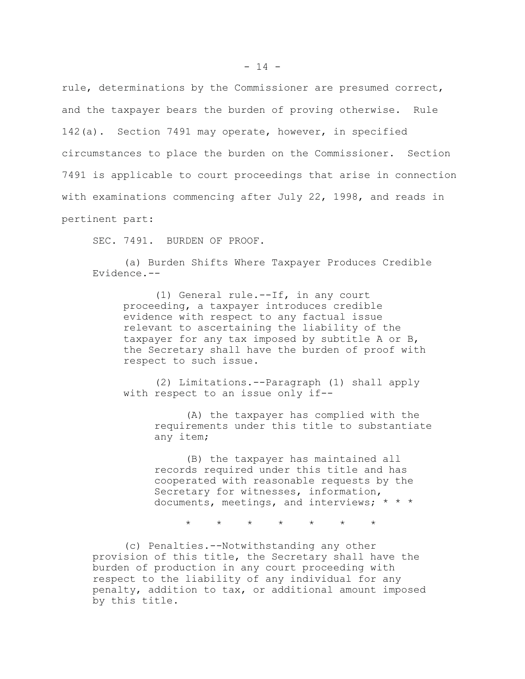rule, determinations by the Commissioner are presumed correct, and the taxpayer bears the burden of proving otherwise. Rule 142(a). Section 7491 may operate, however, in specified circumstances to place the burden on the Commissioner. Section 7491 is applicable to court proceedings that arise in connection with examinations commencing after July 22, 1998, and reads in pertinent part:

SEC. 7491. BURDEN OF PROOF.

(a) Burden Shifts Where Taxpayer Produces Credible Evidence.--

(1) General rule.--If, in any court proceeding, a taxpayer introduces credible evidence with respect to any factual issue relevant to ascertaining the liability of the taxpayer for any tax imposed by subtitle A or B, the Secretary shall have the burden of proof with respect to such issue.

(2) Limitations.--Paragraph (1) shall apply with respect to an issue only if--

> (A) the taxpayer has complied with the requirements under this title to substantiate any item;

(B) the taxpayer has maintained all records required under this title and has cooperated with reasonable requests by the Secretary for witnesses, information, documents, meetings, and interviews; \* \* \*

 $* * * * * * * * * *$ 

(c) Penalties.--Notwithstanding any other provision of this title, the Secretary shall have the burden of production in any court proceeding with respect to the liability of any individual for any penalty, addition to tax, or additional amount imposed by this title.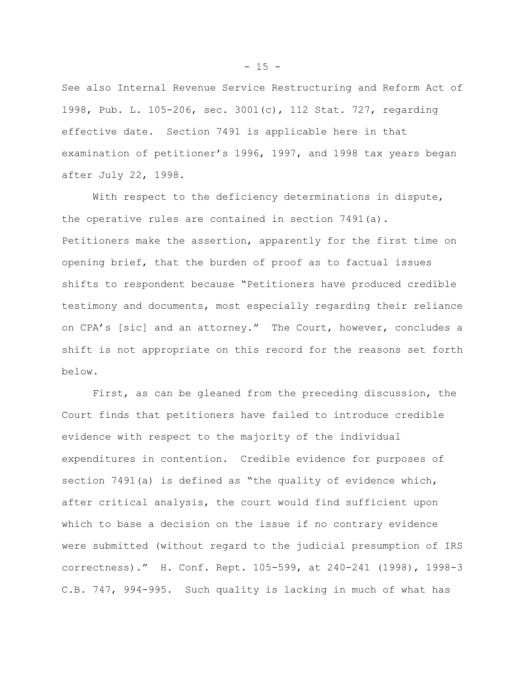See also Internal Revenue Service Restructuring and Reform Act of 1998, Pub. L. 105-206, sec. 3001(c), 112 Stat. 727, regarding effective date. Section 7491 is applicable here in that examination of petitioner's 1996, 1997, and 1998 tax years began after July 22, 1998.

With respect to the deficiency determinations in dispute, the operative rules are contained in section 7491(a). Petitioners make the assertion, apparently for the first time on opening brief, that the burden of proof as to factual issues shifts to respondent because "Petitioners have produced credible testimony and documents, most especially regarding their reliance on CPA's [sic] and an attorney." The Court, however, concludes a shift is not appropriate on this record for the reasons set forth below.

First, as can be gleaned from the preceding discussion, the Court finds that petitioners have failed to introduce credible evidence with respect to the majority of the individual expenditures in contention. Credible evidence for purposes of section 7491(a) is defined as "the quality of evidence which, after critical analysis, the court would find sufficient upon which to base a decision on the issue if no contrary evidence were submitted (without regard to the judicial presumption of IRS correctness)." H. Conf. Rept. 105-599, at 240-241 (1998), 1998-3 C.B. 747, 994-995. Such quality is lacking in much of what has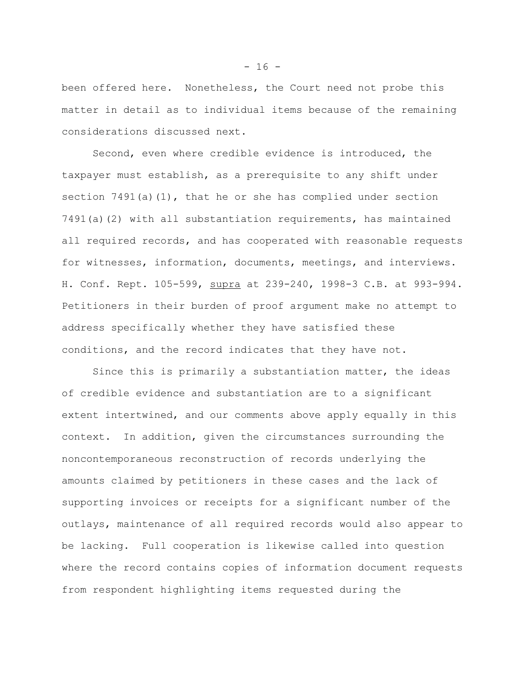been offered here. Nonetheless, the Court need not probe this matter in detail as to individual items because of the remaining considerations discussed next.

Second, even where credible evidence is introduced, the taxpayer must establish, as a prerequisite to any shift under section  $7491(a)(1)$ , that he or she has complied under section 7491(a)(2) with all substantiation requirements, has maintained all required records, and has cooperated with reasonable requests for witnesses, information, documents, meetings, and interviews. H. Conf. Rept. 105-599, supra at 239-240, 1998-3 C.B. at 993-994. Petitioners in their burden of proof argument make no attempt to address specifically whether they have satisfied these conditions, and the record indicates that they have not.

Since this is primarily a substantiation matter, the ideas of credible evidence and substantiation are to a significant extent intertwined, and our comments above apply equally in this context. In addition, given the circumstances surrounding the noncontemporaneous reconstruction of records underlying the amounts claimed by petitioners in these cases and the lack of supporting invoices or receipts for a significant number of the outlays, maintenance of all required records would also appear to be lacking. Full cooperation is likewise called into question where the record contains copies of information document requests from respondent highlighting items requested during the

 $- 16 -$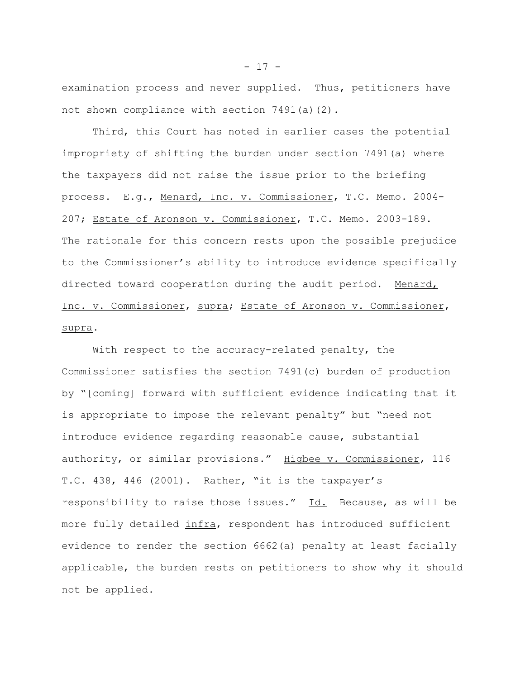examination process and never supplied. Thus, petitioners have not shown compliance with section 7491(a)(2).

Third, this Court has noted in earlier cases the potential impropriety of shifting the burden under section 7491(a) where the taxpayers did not raise the issue prior to the briefing process. E.g., Menard, Inc. v. Commissioner, T.C. Memo. 2004- 207; Estate of Aronson v. Commissioner, T.C. Memo. 2003-189. The rationale for this concern rests upon the possible prejudice to the Commissioner's ability to introduce evidence specifically directed toward cooperation during the audit period. Menard, Inc. v. Commissioner, supra; Estate of Aronson v. Commissioner, supra.

With respect to the accuracy-related penalty, the Commissioner satisfies the section 7491(c) burden of production by "[coming] forward with sufficient evidence indicating that it is appropriate to impose the relevant penalty" but "need not introduce evidence regarding reasonable cause, substantial authority, or similar provisions." Higbee v. Commissioner, 116 T.C. 438, 446 (2001). Rather, "it is the taxpayer's responsibility to raise those issues." Id. Because, as will be more fully detailed infra, respondent has introduced sufficient evidence to render the section 6662(a) penalty at least facially applicable, the burden rests on petitioners to show why it should not be applied.

 $- 17 -$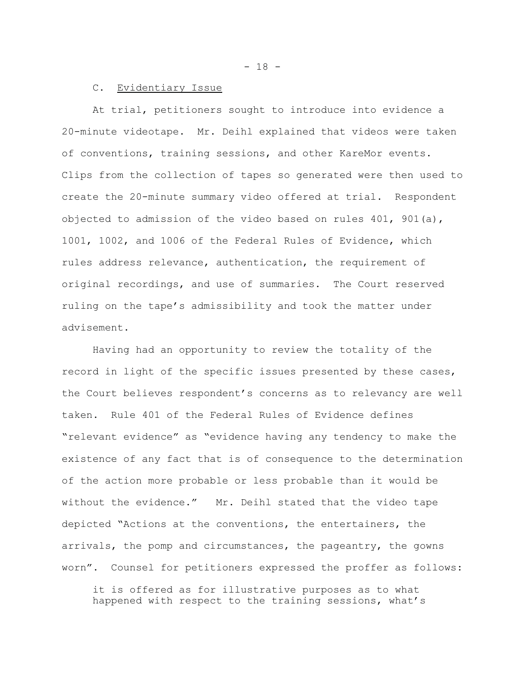$- 18 -$ 

### C. Evidentiary Issue

At trial, petitioners sought to introduce into evidence a 20-minute videotape. Mr. Deihl explained that videos were taken of conventions, training sessions, and other KareMor events. Clips from the collection of tapes so generated were then used to create the 20-minute summary video offered at trial. Respondent objected to admission of the video based on rules 401, 901(a), 1001, 1002, and 1006 of the Federal Rules of Evidence, which rules address relevance, authentication, the requirement of original recordings, and use of summaries. The Court reserved ruling on the tape's admissibility and took the matter under advisement.

Having had an opportunity to review the totality of the record in light of the specific issues presented by these cases, the Court believes respondent's concerns as to relevancy are well taken. Rule 401 of the Federal Rules of Evidence defines "relevant evidence" as "evidence having any tendency to make the existence of any fact that is of consequence to the determination of the action more probable or less probable than it would be without the evidence." Mr. Deihl stated that the video tape depicted "Actions at the conventions, the entertainers, the arrivals, the pomp and circumstances, the pageantry, the gowns worn". Counsel for petitioners expressed the proffer as follows:

it is offered as for illustrative purposes as to what happened with respect to the training sessions, what's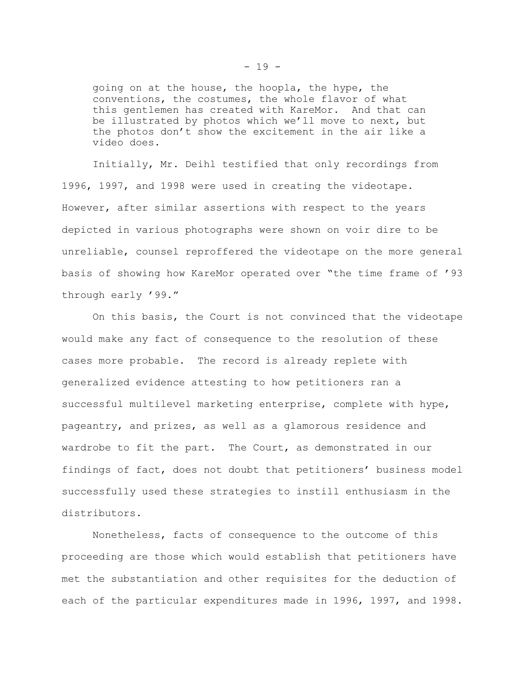going on at the house, the hoopla, the hype, the conventions, the costumes, the whole flavor of what this gentlemen has created with KareMor. And that can be illustrated by photos which we'll move to next, but the photos don't show the excitement in the air like a video does.

Initially, Mr. Deihl testified that only recordings from 1996, 1997, and 1998 were used in creating the videotape. However, after similar assertions with respect to the years depicted in various photographs were shown on voir dire to be unreliable, counsel reproffered the videotape on the more general basis of showing how KareMor operated over "the time frame of '93 through early '99."

On this basis, the Court is not convinced that the videotape would make any fact of consequence to the resolution of these cases more probable. The record is already replete with generalized evidence attesting to how petitioners ran a successful multilevel marketing enterprise, complete with hype, pageantry, and prizes, as well as a glamorous residence and wardrobe to fit the part. The Court, as demonstrated in our findings of fact, does not doubt that petitioners' business model successfully used these strategies to instill enthusiasm in the distributors.

Nonetheless, facts of consequence to the outcome of this proceeding are those which would establish that petitioners have met the substantiation and other requisites for the deduction of each of the particular expenditures made in 1996, 1997, and 1998.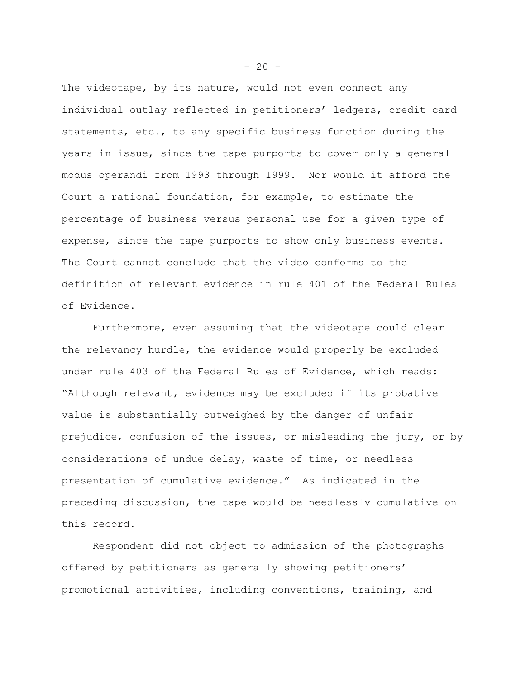The videotape, by its nature, would not even connect any individual outlay reflected in petitioners' ledgers, credit card statements, etc., to any specific business function during the years in issue, since the tape purports to cover only a general modus operandi from 1993 through 1999. Nor would it afford the Court a rational foundation, for example, to estimate the percentage of business versus personal use for a given type of expense, since the tape purports to show only business events. The Court cannot conclude that the video conforms to the definition of relevant evidence in rule 401 of the Federal Rules of Evidence.

Furthermore, even assuming that the videotape could clear the relevancy hurdle, the evidence would properly be excluded under rule 403 of the Federal Rules of Evidence, which reads: "Although relevant, evidence may be excluded if its probative value is substantially outweighed by the danger of unfair prejudice, confusion of the issues, or misleading the jury, or by considerations of undue delay, waste of time, or needless presentation of cumulative evidence." As indicated in the preceding discussion, the tape would be needlessly cumulative on this record.

Respondent did not object to admission of the photographs offered by petitioners as generally showing petitioners' promotional activities, including conventions, training, and

 $-20 -$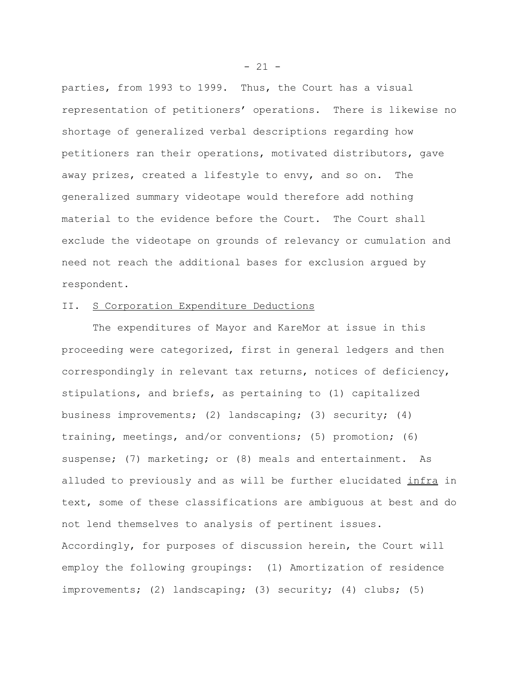parties, from 1993 to 1999. Thus, the Court has a visual representation of petitioners' operations. There is likewise no shortage of generalized verbal descriptions regarding how petitioners ran their operations, motivated distributors, gave away prizes, created a lifestyle to envy, and so on. The generalized summary videotape would therefore add nothing material to the evidence before the Court. The Court shall exclude the videotape on grounds of relevancy or cumulation and need not reach the additional bases for exclusion argued by respondent.

# II. S Corporation Expenditure Deductions

The expenditures of Mayor and KareMor at issue in this proceeding were categorized, first in general ledgers and then correspondingly in relevant tax returns, notices of deficiency, stipulations, and briefs, as pertaining to (1) capitalized business improvements; (2) landscaping; (3) security; (4) training, meetings, and/or conventions; (5) promotion; (6) suspense; (7) marketing; or (8) meals and entertainment. As alluded to previously and as will be further elucidated infra in text, some of these classifications are ambiguous at best and do not lend themselves to analysis of pertinent issues. Accordingly, for purposes of discussion herein, the Court will employ the following groupings: (1) Amortization of residence improvements; (2) landscaping; (3) security; (4) clubs; (5)

 $- 21 -$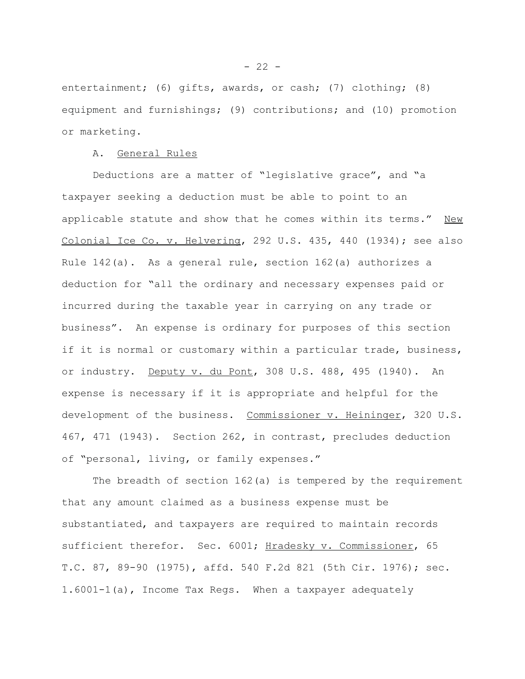entertainment; (6) gifts, awards, or cash; (7) clothing; (8) equipment and furnishings; (9) contributions; and (10) promotion or marketing.

## A. General Rules

Deductions are a matter of "legislative grace", and "a taxpayer seeking a deduction must be able to point to an applicable statute and show that he comes within its terms." New Colonial Ice Co. v. Helvering, 292 U.S. 435, 440 (1934); see also Rule 142(a). As a general rule, section 162(a) authorizes a deduction for "all the ordinary and necessary expenses paid or incurred during the taxable year in carrying on any trade or business". An expense is ordinary for purposes of this section if it is normal or customary within a particular trade, business, or industry. Deputy v. du Pont, 308 U.S. 488, 495 (1940). An expense is necessary if it is appropriate and helpful for the development of the business. Commissioner v. Heininger, 320 U.S. 467, 471 (1943). Section 262, in contrast, precludes deduction of "personal, living, or family expenses."

The breadth of section 162(a) is tempered by the requirement that any amount claimed as a business expense must be substantiated, and taxpayers are required to maintain records sufficient therefor. Sec. 6001; Hradesky v. Commissioner, 65 T.C. 87, 89-90 (1975), affd. 540 F.2d 821 (5th Cir. 1976); sec. 1.6001-1(a), Income Tax Regs. When a taxpayer adequately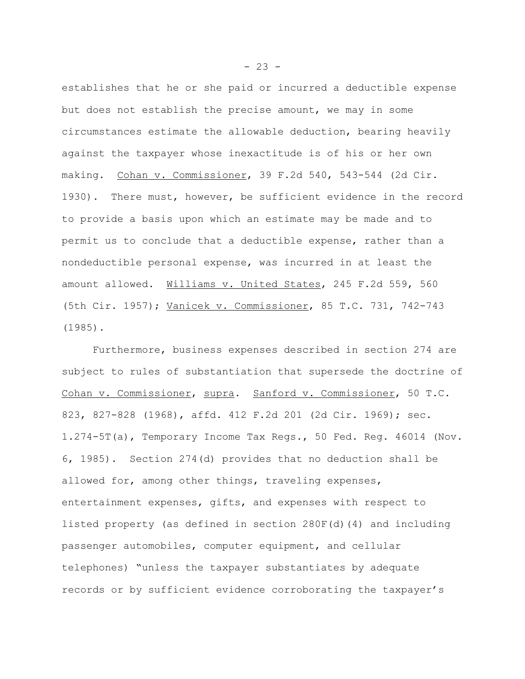establishes that he or she paid or incurred a deductible expense but does not establish the precise amount, we may in some circumstances estimate the allowable deduction, bearing heavily against the taxpayer whose inexactitude is of his or her own making. Cohan v. Commissioner, 39 F.2d 540, 543-544 (2d Cir. 1930). There must, however, be sufficient evidence in the record to provide a basis upon which an estimate may be made and to permit us to conclude that a deductible expense, rather than a nondeductible personal expense, was incurred in at least the amount allowed. Williams v. United States, 245 F.2d 559, 560 (5th Cir. 1957); Vanicek v. Commissioner, 85 T.C. 731, 742-743 (1985).

Furthermore, business expenses described in section 274 are subject to rules of substantiation that supersede the doctrine of Cohan v. Commissioner, supra. Sanford v. Commissioner, 50 T.C. 823, 827-828 (1968), affd. 412 F.2d 201 (2d Cir. 1969); sec. 1.274-5T(a), Temporary Income Tax Regs., 50 Fed. Reg. 46014 (Nov. 6, 1985). Section 274(d) provides that no deduction shall be allowed for, among other things, traveling expenses, entertainment expenses, gifts, and expenses with respect to listed property (as defined in section 280F(d)(4) and including passenger automobiles, computer equipment, and cellular telephones) "unless the taxpayer substantiates by adequate records or by sufficient evidence corroborating the taxpayer's

 $- 23 -$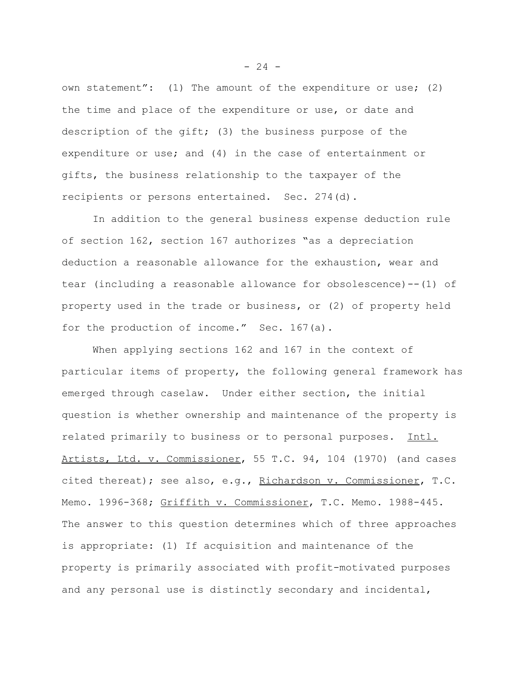own statement": (1) The amount of the expenditure or use; (2) the time and place of the expenditure or use, or date and description of the gift; (3) the business purpose of the expenditure or use; and (4) in the case of entertainment or gifts, the business relationship to the taxpayer of the recipients or persons entertained. Sec. 274(d).

In addition to the general business expense deduction rule of section 162, section 167 authorizes "as a depreciation deduction a reasonable allowance for the exhaustion, wear and tear (including a reasonable allowance for obsolescence)--(1) of property used in the trade or business, or (2) of property held for the production of income." Sec. 167(a).

When applying sections 162 and 167 in the context of particular items of property, the following general framework has emerged through caselaw. Under either section, the initial question is whether ownership and maintenance of the property is related primarily to business or to personal purposes. Intl. Artists, Ltd. v. Commissioner, 55 T.C. 94, 104 (1970) (and cases cited thereat); see also, e.g., Richardson v. Commissioner, T.C. Memo. 1996-368; Griffith v. Commissioner, T.C. Memo. 1988-445. The answer to this question determines which of three approaches is appropriate: (1) If acquisition and maintenance of the property is primarily associated with profit-motivated purposes and any personal use is distinctly secondary and incidental,

 $- 24 -$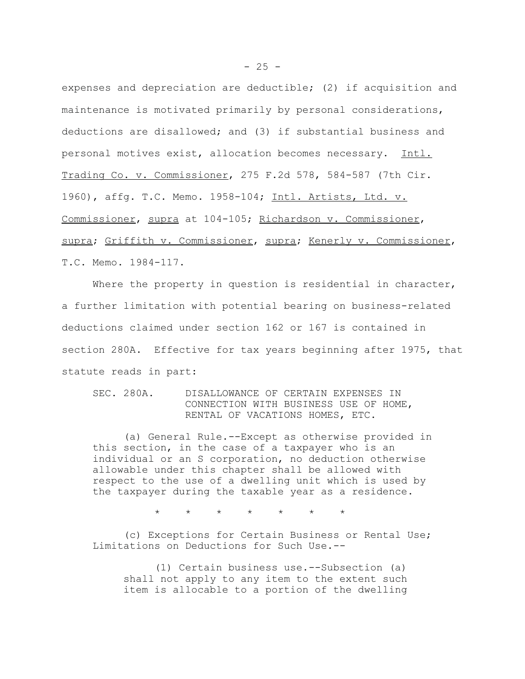expenses and depreciation are deductible; (2) if acquisition and maintenance is motivated primarily by personal considerations, deductions are disallowed; and (3) if substantial business and personal motives exist, allocation becomes necessary. Intl. Trading Co. v. Commissioner, 275 F.2d 578, 584-587 (7th Cir. 1960), affg. T.C. Memo. 1958-104; Intl. Artists, Ltd. v. Commissioner, supra at 104-105; Richardson v. Commissioner, supra; Griffith v. Commissioner, supra; Kenerly v. Commissioner, T.C. Memo. 1984-117.

Where the property in question is residential in character, a further limitation with potential bearing on business-related deductions claimed under section 162 or 167 is contained in section 280A. Effective for tax years beginning after 1975, that statute reads in part:

SEC. 280A. DISALLOWANCE OF CERTAIN EXPENSES IN CONNECTION WITH BUSINESS USE OF HOME, RENTAL OF VACATIONS HOMES, ETC.

(a) General Rule.--Except as otherwise provided in this section, in the case of a taxpayer who is an individual or an S corporation, no deduction otherwise allowable under this chapter shall be allowed with respect to the use of a dwelling unit which is used by the taxpayer during the taxable year as a residence.

\* \* \* \* \* \* \*

(c) Exceptions for Certain Business or Rental Use; Limitations on Deductions for Such Use.--

(1) Certain business use.--Subsection (a) shall not apply to any item to the extent such item is allocable to a portion of the dwelling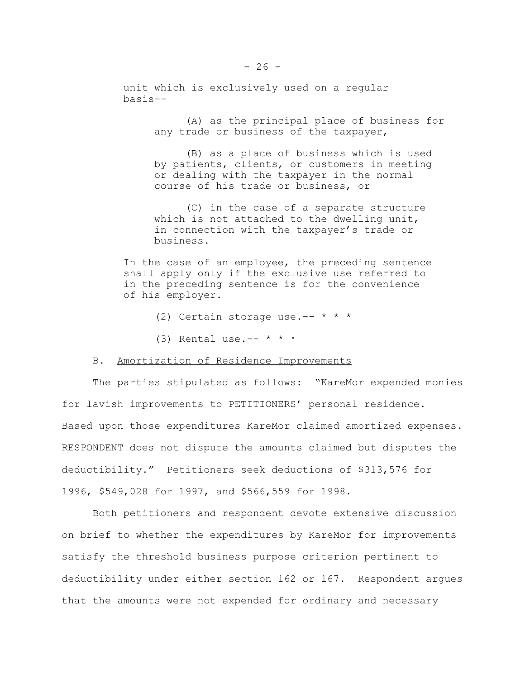unit which is exclusively used on a regular basis--

> (A) as the principal place of business for any trade or business of the taxpayer,

(B) as a place of business which is used by patients, clients, or customers in meeting or dealing with the taxpayer in the normal course of his trade or business, or

(C) in the case of a separate structure which is not attached to the dwelling unit, in connection with the taxpayer's trade or business.

In the case of an employee, the preceding sentence shall apply only if the exclusive use referred to in the preceding sentence is for the convenience of his employer.

- (2) Certain storage use.--  $* * *$
- (3) Rental use.--  $* * *$

# B. Amortization of Residence Improvements

The parties stipulated as follows: "KareMor expended monies for lavish improvements to PETITIONERS' personal residence. Based upon those expenditures KareMor claimed amortized expenses. RESPONDENT does not dispute the amounts claimed but disputes the deductibility." Petitioners seek deductions of \$313,576 for 1996, \$549,028 for 1997, and \$566,559 for 1998.

Both petitioners and respondent devote extensive discussion on brief to whether the expenditures by KareMor for improvements satisfy the threshold business purpose criterion pertinent to deductibility under either section 162 or 167. Respondent argues that the amounts were not expended for ordinary and necessary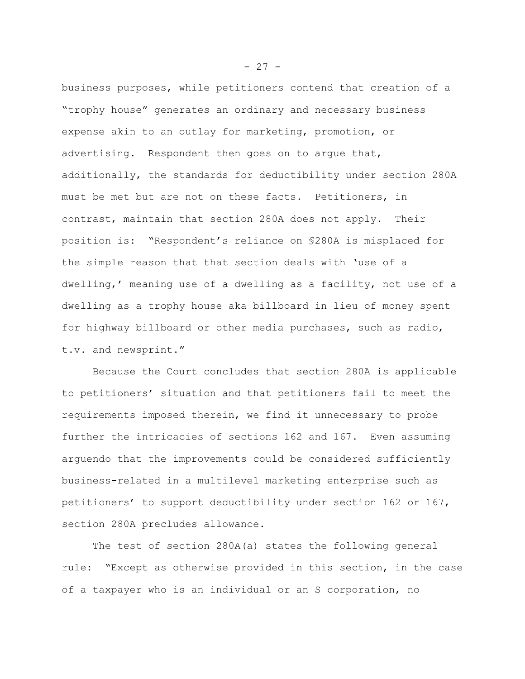business purposes, while petitioners contend that creation of a "trophy house" generates an ordinary and necessary business expense akin to an outlay for marketing, promotion, or advertising. Respondent then goes on to argue that, additionally, the standards for deductibility under section 280A must be met but are not on these facts. Petitioners, in contrast, maintain that section 280A does not apply. Their position is: "Respondent's reliance on §280A is misplaced for the simple reason that that section deals with 'use of a dwelling,' meaning use of a dwelling as a facility, not use of a dwelling as a trophy house aka billboard in lieu of money spent for highway billboard or other media purchases, such as radio, t.v. and newsprint."

Because the Court concludes that section 280A is applicable to petitioners' situation and that petitioners fail to meet the requirements imposed therein, we find it unnecessary to probe further the intricacies of sections 162 and 167. Even assuming arguendo that the improvements could be considered sufficiently business-related in a multilevel marketing enterprise such as petitioners' to support deductibility under section 162 or 167, section 280A precludes allowance.

The test of section 280A(a) states the following general rule: "Except as otherwise provided in this section, in the case of a taxpayer who is an individual or an S corporation, no

 $- 27 -$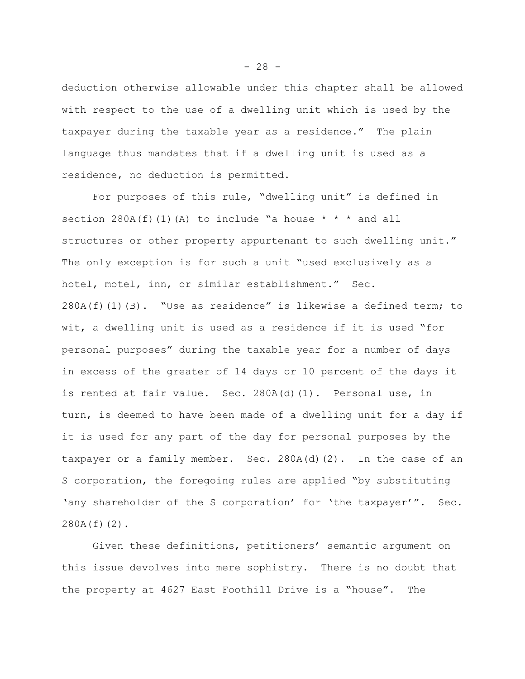deduction otherwise allowable under this chapter shall be allowed with respect to the use of a dwelling unit which is used by the taxpayer during the taxable year as a residence." The plain language thus mandates that if a dwelling unit is used as a residence, no deduction is permitted.

For purposes of this rule, "dwelling unit" is defined in section 280A(f)(1)(A) to include "a house  $* * *$  and all structures or other property appurtenant to such dwelling unit." The only exception is for such a unit "used exclusively as a hotel, motel, inn, or similar establishment." Sec. 280A(f)(1)(B). "Use as residence" is likewise a defined term; to wit, a dwelling unit is used as a residence if it is used "for personal purposes" during the taxable year for a number of days in excess of the greater of 14 days or 10 percent of the days it is rented at fair value. Sec. 280A(d)(1). Personal use, in turn, is deemed to have been made of a dwelling unit for a day if it is used for any part of the day for personal purposes by the taxpayer or a family member. Sec. 280A(d)(2). In the case of an S corporation, the foregoing rules are applied "by substituting 'any shareholder of the S corporation' for 'the taxpayer'". Sec. 280A(f)(2).

Given these definitions, petitioners' semantic argument on this issue devolves into mere sophistry. There is no doubt that the property at 4627 East Foothill Drive is a "house". The

 $- 28 -$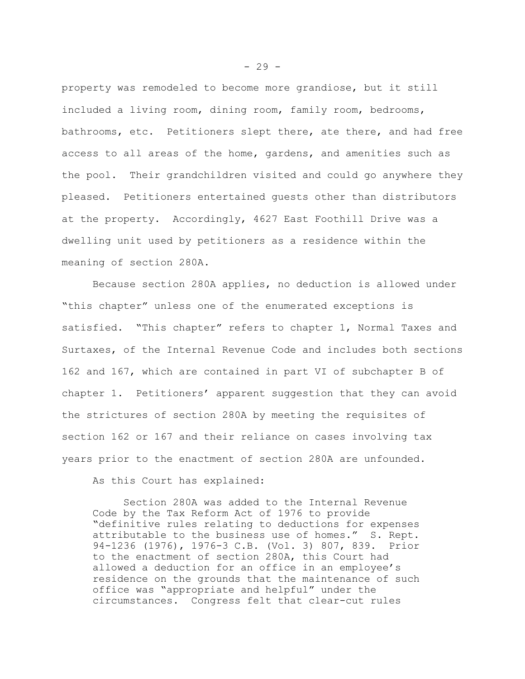property was remodeled to become more grandiose, but it still included a living room, dining room, family room, bedrooms, bathrooms, etc. Petitioners slept there, ate there, and had free access to all areas of the home, gardens, and amenities such as the pool. Their grandchildren visited and could go anywhere they pleased. Petitioners entertained guests other than distributors at the property. Accordingly, 4627 East Foothill Drive was a dwelling unit used by petitioners as a residence within the meaning of section 280A.

Because section 280A applies, no deduction is allowed under "this chapter" unless one of the enumerated exceptions is satisfied. "This chapter" refers to chapter 1, Normal Taxes and Surtaxes, of the Internal Revenue Code and includes both sections 162 and 167, which are contained in part VI of subchapter B of chapter 1. Petitioners' apparent suggestion that they can avoid the strictures of section 280A by meeting the requisites of section 162 or 167 and their reliance on cases involving tax years prior to the enactment of section 280A are unfounded.

As this Court has explained:

Section 280A was added to the Internal Revenue Code by the Tax Reform Act of 1976 to provide "definitive rules relating to deductions for expenses attributable to the business use of homes." S. Rept. 94-1236 (1976), 1976-3 C.B. (Vol. 3) 807, 839. Prior to the enactment of section 280A, this Court had allowed a deduction for an office in an employee's residence on the grounds that the maintenance of such office was "appropriate and helpful" under the circumstances. Congress felt that clear-cut rules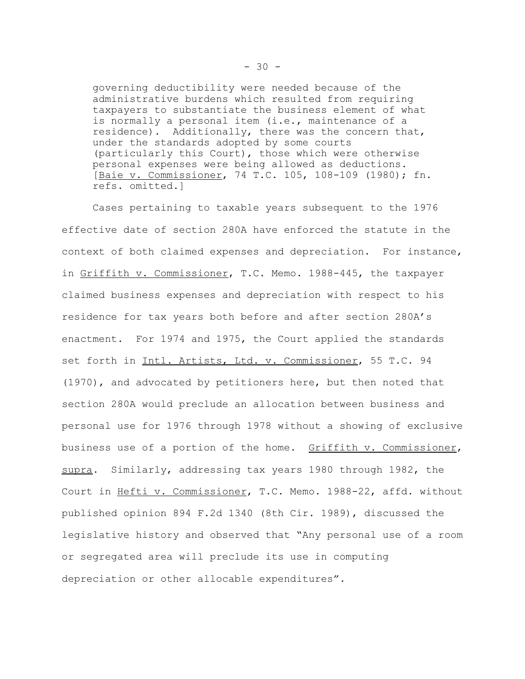governing deductibility were needed because of the administrative burdens which resulted from requiring taxpayers to substantiate the business element of what is normally a personal item (i.e., maintenance of a residence). Additionally, there was the concern that, under the standards adopted by some courts (particularly this Court), those which were otherwise personal expenses were being allowed as deductions. [Baie v. Commissioner, 74 T.C. 105, 108-109 (1980); fn. refs. omitted.]

Cases pertaining to taxable years subsequent to the 1976 effective date of section 280A have enforced the statute in the context of both claimed expenses and depreciation. For instance, in Griffith v. Commissioner, T.C. Memo. 1988-445, the taxpayer claimed business expenses and depreciation with respect to his residence for tax years both before and after section 280A's enactment. For 1974 and 1975, the Court applied the standards set forth in Intl. Artists, Ltd. v. Commissioner, 55 T.C. 94 (1970), and advocated by petitioners here, but then noted that section 280A would preclude an allocation between business and personal use for 1976 through 1978 without a showing of exclusive business use of a portion of the home. Griffith v. Commissioner, supra. Similarly, addressing tax years 1980 through 1982, the Court in Hefti v. Commissioner, T.C. Memo. 1988-22, affd. without published opinion 894 F.2d 1340 (8th Cir. 1989), discussed the legislative history and observed that "Any personal use of a room or segregated area will preclude its use in computing depreciation or other allocable expenditures".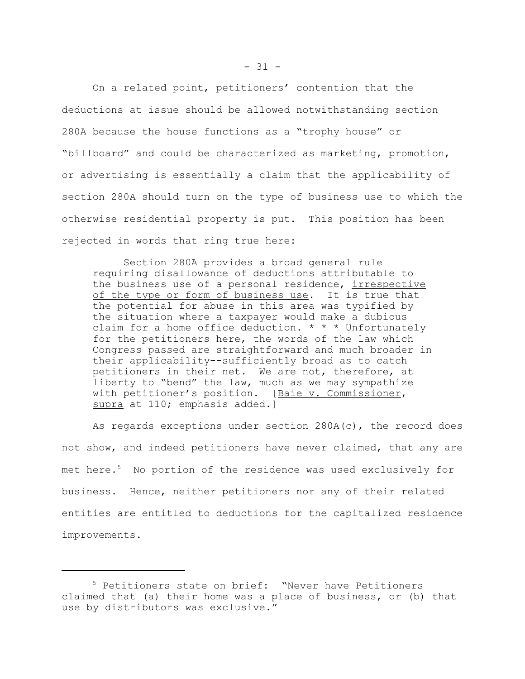On a related point, petitioners' contention that the deductions at issue should be allowed notwithstanding section 280A because the house functions as a "trophy house" or "billboard" and could be characterized as marketing, promotion, or advertising is essentially a claim that the applicability of section 280A should turn on the type of business use to which the otherwise residential property is put. This position has been rejected in words that ring true here:

Section 280A provides a broad general rule requiring disallowance of deductions attributable to the business use of a personal residence, irrespective of the type or form of business use. It is true that the potential for abuse in this area was typified by the situation where a taxpayer would make a dubious claim for a home office deduction.  $* * *$  Unfortunately for the petitioners here, the words of the law which Congress passed are straightforward and much broader in their applicability--sufficiently broad as to catch petitioners in their net. We are not, therefore, at liberty to "bend" the law, much as we may sympathize with petitioner's position. [Baie v. Commissioner, supra at 110; emphasis added.]

As regards exceptions under section 280A(c), the record does not show, and indeed petitioners have never claimed, that any are met here.<sup>5</sup> No portion of the residence was used exclusively for business. Hence, neither petitioners nor any of their related entities are entitled to deductions for the capitalized residence improvements.

<sup>5</sup> Petitioners state on brief: "Never have Petitioners claimed that (a) their home was a place of business, or (b) that use by distributors was exclusive."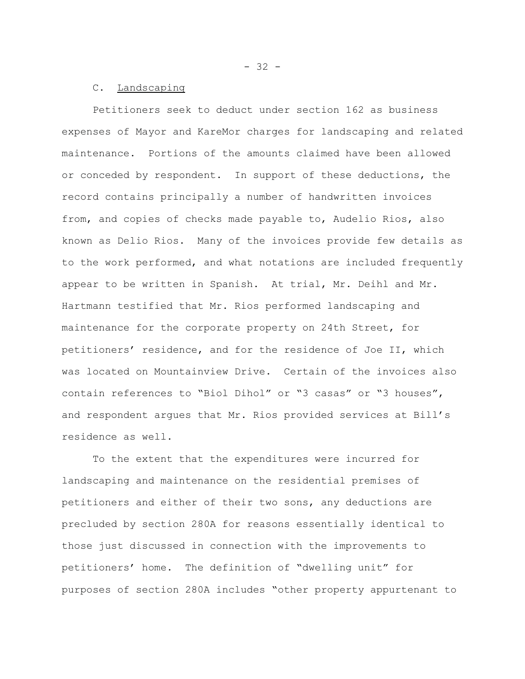$- 32 -$ 

## C. Landscaping

Petitioners seek to deduct under section 162 as business expenses of Mayor and KareMor charges for landscaping and related maintenance. Portions of the amounts claimed have been allowed or conceded by respondent. In support of these deductions, the record contains principally a number of handwritten invoices from, and copies of checks made payable to, Audelio Rios, also known as Delio Rios. Many of the invoices provide few details as to the work performed, and what notations are included frequently appear to be written in Spanish. At trial, Mr. Deihl and Mr. Hartmann testified that Mr. Rios performed landscaping and maintenance for the corporate property on 24th Street, for petitioners' residence, and for the residence of Joe II, which was located on Mountainview Drive. Certain of the invoices also contain references to "Biol Dihol" or "3 casas" or "3 houses", and respondent argues that Mr. Rios provided services at Bill's residence as well.

To the extent that the expenditures were incurred for landscaping and maintenance on the residential premises of petitioners and either of their two sons, any deductions are precluded by section 280A for reasons essentially identical to those just discussed in connection with the improvements to petitioners' home. The definition of "dwelling unit" for purposes of section 280A includes "other property appurtenant to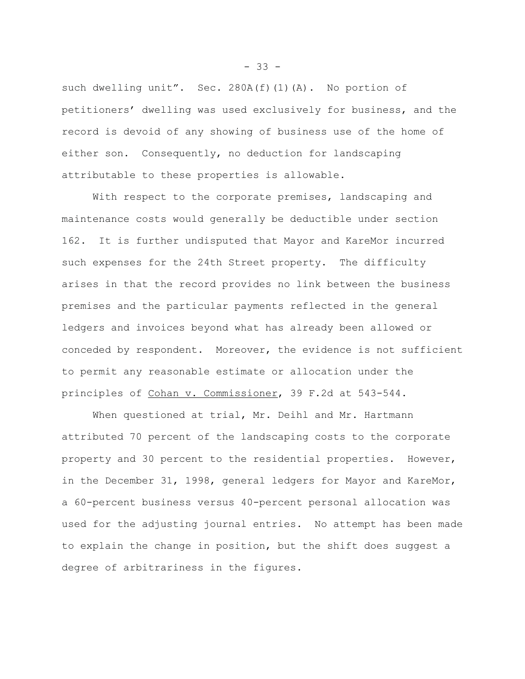such dwelling unit". Sec.  $280A(f)(1)(A)$ . No portion of petitioners' dwelling was used exclusively for business, and the record is devoid of any showing of business use of the home of either son. Consequently, no deduction for landscaping attributable to these properties is allowable.

With respect to the corporate premises, landscaping and maintenance costs would generally be deductible under section 162. It is further undisputed that Mayor and KareMor incurred such expenses for the 24th Street property. The difficulty arises in that the record provides no link between the business premises and the particular payments reflected in the general ledgers and invoices beyond what has already been allowed or conceded by respondent. Moreover, the evidence is not sufficient to permit any reasonable estimate or allocation under the principles of Cohan v. Commissioner, 39 F.2d at 543-544.

When questioned at trial, Mr. Deihl and Mr. Hartmann attributed 70 percent of the landscaping costs to the corporate property and 30 percent to the residential properties. However, in the December 31, 1998, general ledgers for Mayor and KareMor, a 60-percent business versus 40-percent personal allocation was used for the adjusting journal entries. No attempt has been made to explain the change in position, but the shift does suggest a degree of arbitrariness in the figures.

 $- 33 -$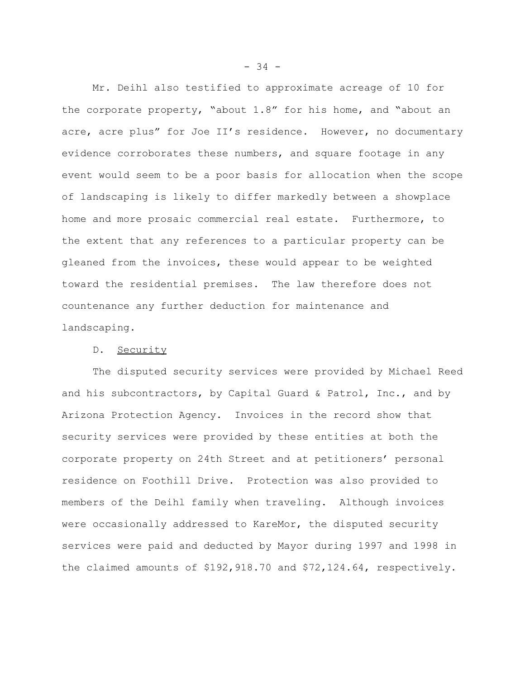Mr. Deihl also testified to approximate acreage of 10 for the corporate property, "about 1.8" for his home, and "about an acre, acre plus" for Joe II's residence. However, no documentary evidence corroborates these numbers, and square footage in any event would seem to be a poor basis for allocation when the scope of landscaping is likely to differ markedly between a showplace home and more prosaic commercial real estate. Furthermore, to the extent that any references to a particular property can be gleaned from the invoices, these would appear to be weighted toward the residential premises. The law therefore does not countenance any further deduction for maintenance and landscaping.

## D. Security

The disputed security services were provided by Michael Reed and his subcontractors, by Capital Guard & Patrol, Inc., and by Arizona Protection Agency. Invoices in the record show that security services were provided by these entities at both the corporate property on 24th Street and at petitioners' personal residence on Foothill Drive. Protection was also provided to members of the Deihl family when traveling. Although invoices were occasionally addressed to KareMor, the disputed security services were paid and deducted by Mayor during 1997 and 1998 in the claimed amounts of \$192,918.70 and \$72,124.64, respectively.

 $-34 -$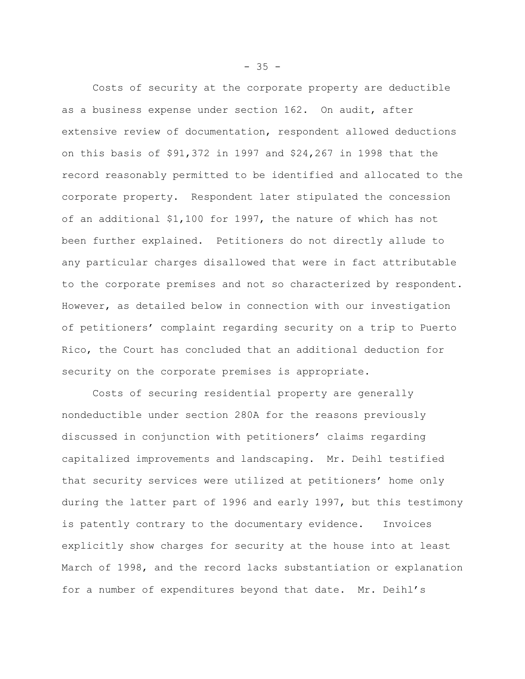Costs of security at the corporate property are deductible as a business expense under section 162. On audit, after extensive review of documentation, respondent allowed deductions on this basis of \$91,372 in 1997 and \$24,267 in 1998 that the record reasonably permitted to be identified and allocated to the corporate property. Respondent later stipulated the concession of an additional \$1,100 for 1997, the nature of which has not been further explained. Petitioners do not directly allude to any particular charges disallowed that were in fact attributable to the corporate premises and not so characterized by respondent. However, as detailed below in connection with our investigation of petitioners' complaint regarding security on a trip to Puerto Rico, the Court has concluded that an additional deduction for security on the corporate premises is appropriate.

Costs of securing residential property are generally nondeductible under section 280A for the reasons previously discussed in conjunction with petitioners' claims regarding capitalized improvements and landscaping. Mr. Deihl testified that security services were utilized at petitioners' home only during the latter part of 1996 and early 1997, but this testimony is patently contrary to the documentary evidence. Invoices explicitly show charges for security at the house into at least March of 1998, and the record lacks substantiation or explanation for a number of expenditures beyond that date. Mr. Deihl's

 $- 35 -$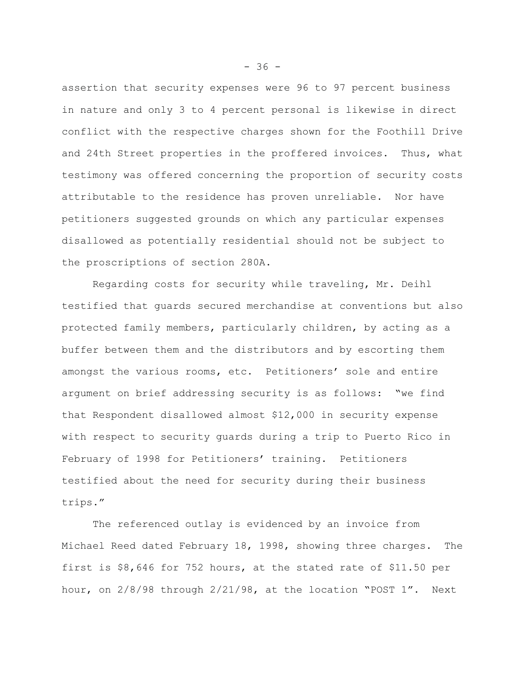assertion that security expenses were 96 to 97 percent business in nature and only 3 to 4 percent personal is likewise in direct conflict with the respective charges shown for the Foothill Drive and 24th Street properties in the proffered invoices. Thus, what testimony was offered concerning the proportion of security costs attributable to the residence has proven unreliable. Nor have petitioners suggested grounds on which any particular expenses disallowed as potentially residential should not be subject to the proscriptions of section 280A.

Regarding costs for security while traveling, Mr. Deihl testified that guards secured merchandise at conventions but also protected family members, particularly children, by acting as a buffer between them and the distributors and by escorting them amongst the various rooms, etc. Petitioners' sole and entire argument on brief addressing security is as follows: "we find that Respondent disallowed almost \$12,000 in security expense with respect to security guards during a trip to Puerto Rico in February of 1998 for Petitioners' training. Petitioners testified about the need for security during their business trips."

The referenced outlay is evidenced by an invoice from Michael Reed dated February 18, 1998, showing three charges. The first is \$8,646 for 752 hours, at the stated rate of \$11.50 per hour, on 2/8/98 through 2/21/98, at the location "POST 1". Next

 $-36 -$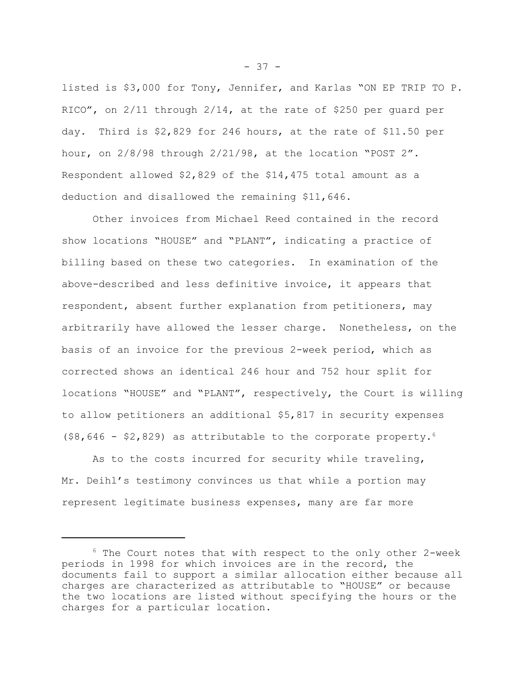listed is \$3,000 for Tony, Jennifer, and Karlas "ON EP TRIP TO P. RICO", on 2/11 through 2/14, at the rate of \$250 per guard per day. Third is \$2,829 for 246 hours, at the rate of \$11.50 per hour, on 2/8/98 through 2/21/98, at the location "POST 2". Respondent allowed \$2,829 of the \$14,475 total amount as a deduction and disallowed the remaining \$11,646.

Other invoices from Michael Reed contained in the record show locations "HOUSE" and "PLANT", indicating a practice of billing based on these two categories. In examination of the above-described and less definitive invoice, it appears that respondent, absent further explanation from petitioners, may arbitrarily have allowed the lesser charge. Nonetheless, on the basis of an invoice for the previous 2-week period, which as corrected shows an identical 246 hour and 752 hour split for locations "HOUSE" and "PLANT", respectively, the Court is willing to allow petitioners an additional \$5,817 in security expenses  $(58,646 - 52,829)$  as attributable to the corporate property.<sup>6</sup>

As to the costs incurred for security while traveling, Mr. Deihl's testimony convinces us that while a portion may represent legitimate business expenses, many are far more

- 37 -

 $6$  The Court notes that with respect to the only other 2-week periods in 1998 for which invoices are in the record, the documents fail to support a similar allocation either because all charges are characterized as attributable to "HOUSE" or because the two locations are listed without specifying the hours or the charges for a particular location.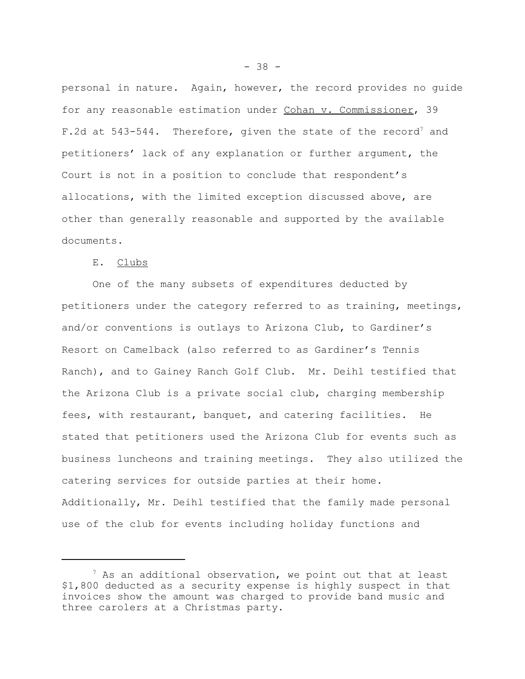personal in nature. Again, however, the record provides no guide for any reasonable estimation under Cohan v. Commissioner, 39 F.2d at  $543-544$ . Therefore, given the state of the record<sup>7</sup> and petitioners' lack of any explanation or further argument, the Court is not in a position to conclude that respondent's allocations, with the limited exception discussed above, are other than generally reasonable and supported by the available documents.

# E. Clubs

One of the many subsets of expenditures deducted by petitioners under the category referred to as training, meetings, and/or conventions is outlays to Arizona Club, to Gardiner's Resort on Camelback (also referred to as Gardiner's Tennis Ranch), and to Gainey Ranch Golf Club. Mr. Deihl testified that the Arizona Club is a private social club, charging membership fees, with restaurant, banquet, and catering facilities. He stated that petitioners used the Arizona Club for events such as business luncheons and training meetings. They also utilized the catering services for outside parties at their home. Additionally, Mr. Deihl testified that the family made personal use of the club for events including holiday functions and

 $7$  As an additional observation, we point out that at least \$1,800 deducted as a security expense is highly suspect in that invoices show the amount was charged to provide band music and three carolers at a Christmas party.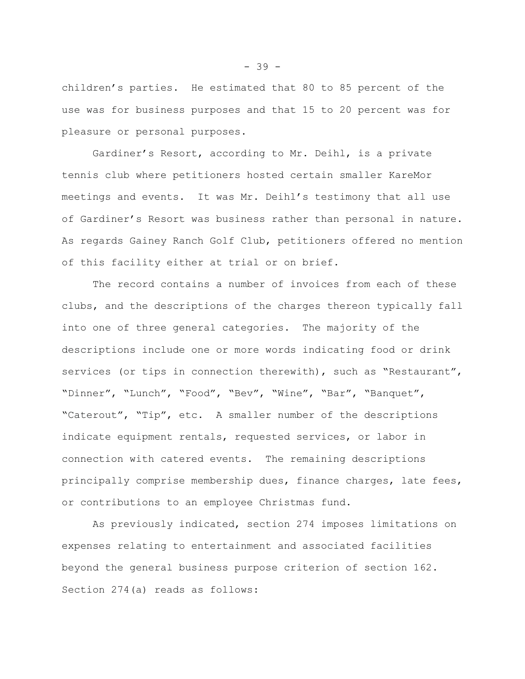children's parties. He estimated that 80 to 85 percent of the use was for business purposes and that 15 to 20 percent was for pleasure or personal purposes.

Gardiner's Resort, according to Mr. Deihl, is a private tennis club where petitioners hosted certain smaller KareMor meetings and events. It was Mr. Deihl's testimony that all use of Gardiner's Resort was business rather than personal in nature. As regards Gainey Ranch Golf Club, petitioners offered no mention of this facility either at trial or on brief.

The record contains a number of invoices from each of these clubs, and the descriptions of the charges thereon typically fall into one of three general categories. The majority of the descriptions include one or more words indicating food or drink services (or tips in connection therewith), such as "Restaurant", "Dinner", "Lunch", "Food", "Bev", "Wine", "Bar", "Banquet", "Caterout", "Tip", etc. A smaller number of the descriptions indicate equipment rentals, requested services, or labor in connection with catered events. The remaining descriptions principally comprise membership dues, finance charges, late fees, or contributions to an employee Christmas fund.

As previously indicated, section 274 imposes limitations on expenses relating to entertainment and associated facilities beyond the general business purpose criterion of section 162. Section 274(a) reads as follows:

- 39 -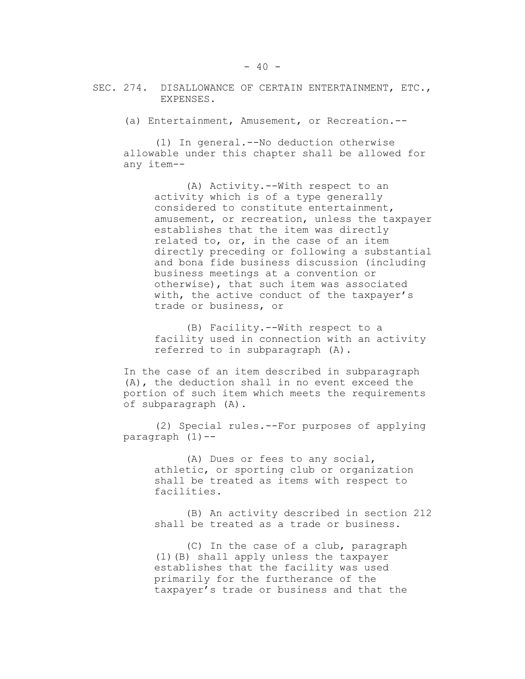(a) Entertainment, Amusement, or Recreation.--

(1) In general.--No deduction otherwise allowable under this chapter shall be allowed for any item--

(A) Activity.--With respect to an activity which is of a type generally considered to constitute entertainment, amusement, or recreation, unless the taxpayer establishes that the item was directly related to, or, in the case of an item directly preceding or following a substantial and bona fide business discussion (including business meetings at a convention or otherwise), that such item was associated with, the active conduct of the taxpayer's trade or business, or

(B) Facility.--With respect to a facility used in connection with an activity referred to in subparagraph (A).

In the case of an item described in subparagraph (A), the deduction shall in no event exceed the portion of such item which meets the requirements of subparagraph (A).

(2) Special rules.--For purposes of applying paragraph  $(1)$  --

> (A) Dues or fees to any social, athletic, or sporting club or organization shall be treated as items with respect to facilities.

(B) An activity described in section 212 shall be treated as a trade or business.

(C) In the case of a club, paragraph (1)(B) shall apply unless the taxpayer establishes that the facility was used primarily for the furtherance of the taxpayer's trade or business and that the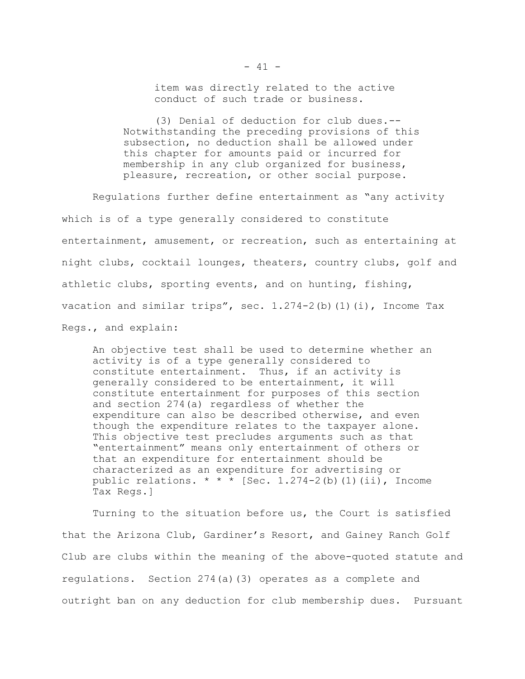item was directly related to the active conduct of such trade or business.

(3) Denial of deduction for club dues.-- Notwithstanding the preceding provisions of this subsection, no deduction shall be allowed under this chapter for amounts paid or incurred for membership in any club organized for business, pleasure, recreation, or other social purpose.

Regulations further define entertainment as "any activity which is of a type generally considered to constitute entertainment, amusement, or recreation, such as entertaining at night clubs, cocktail lounges, theaters, country clubs, golf and athletic clubs, sporting events, and on hunting, fishing, vacation and similar trips", sec. 1.274-2(b)(1)(i), Income Tax Regs., and explain:

An objective test shall be used to determine whether an activity is of a type generally considered to constitute entertainment. Thus, if an activity is generally considered to be entertainment, it will constitute entertainment for purposes of this section and section 274(a) regardless of whether the expenditure can also be described otherwise, and even though the expenditure relates to the taxpayer alone. This objective test precludes arguments such as that "entertainment" means only entertainment of others or that an expenditure for entertainment should be characterized as an expenditure for advertising or public relations.  $* * *$  [Sec. 1.274-2(b)(1)(ii), Income Tax Regs.]

Turning to the situation before us, the Court is satisfied that the Arizona Club, Gardiner's Resort, and Gainey Ranch Golf Club are clubs within the meaning of the above-quoted statute and regulations. Section 274(a)(3) operates as a complete and outright ban on any deduction for club membership dues. Pursuant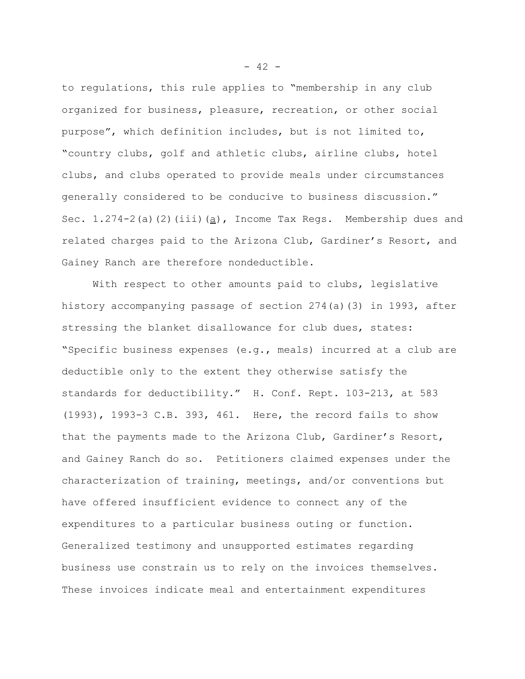to regulations, this rule applies to "membership in any club organized for business, pleasure, recreation, or other social purpose", which definition includes, but is not limited to, "country clubs, golf and athletic clubs, airline clubs, hotel clubs, and clubs operated to provide meals under circumstances generally considered to be conducive to business discussion." Sec.  $1.274-2$  (a)(2)(iii)(a), Income Tax Regs. Membership dues and related charges paid to the Arizona Club, Gardiner's Resort, and Gainey Ranch are therefore nondeductible.

With respect to other amounts paid to clubs, legislative history accompanying passage of section 274(a)(3) in 1993, after stressing the blanket disallowance for club dues, states: "Specific business expenses (e.g., meals) incurred at a club are deductible only to the extent they otherwise satisfy the standards for deductibility." H. Conf. Rept. 103-213, at 583 (1993), 1993-3 C.B. 393, 461. Here, the record fails to show that the payments made to the Arizona Club, Gardiner's Resort, and Gainey Ranch do so. Petitioners claimed expenses under the characterization of training, meetings, and/or conventions but have offered insufficient evidence to connect any of the expenditures to a particular business outing or function. Generalized testimony and unsupported estimates regarding business use constrain us to rely on the invoices themselves. These invoices indicate meal and entertainment expenditures

 $- 42 -$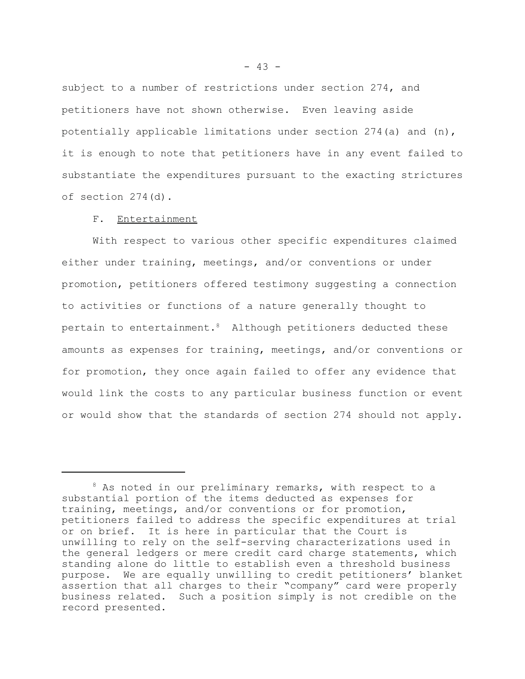subject to a number of restrictions under section 274, and petitioners have not shown otherwise. Even leaving aside potentially applicable limitations under section  $274$  (a) and  $(n)$ , it is enough to note that petitioners have in any event failed to substantiate the expenditures pursuant to the exacting strictures of section 274(d).

#### F. Entertainment

With respect to various other specific expenditures claimed either under training, meetings, and/or conventions or under promotion, petitioners offered testimony suggesting a connection to activities or functions of a nature generally thought to pertain to entertainment. $8$  Although petitioners deducted these amounts as expenses for training, meetings, and/or conventions or for promotion, they once again failed to offer any evidence that would link the costs to any particular business function or event or would show that the standards of section 274 should not apply.

 $8$  As noted in our preliminary remarks, with respect to a substantial portion of the items deducted as expenses for training, meetings, and/or conventions or for promotion, petitioners failed to address the specific expenditures at trial or on brief. It is here in particular that the Court is unwilling to rely on the self-serving characterizations used in the general ledgers or mere credit card charge statements, which standing alone do little to establish even a threshold business purpose. We are equally unwilling to credit petitioners' blanket assertion that all charges to their "company" card were properly business related. Such a position simply is not credible on the record presented.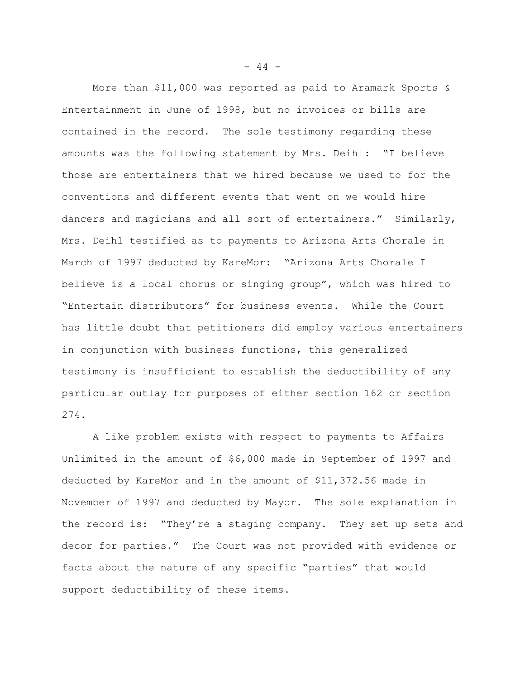More than \$11,000 was reported as paid to Aramark Sports & Entertainment in June of 1998, but no invoices or bills are contained in the record. The sole testimony regarding these amounts was the following statement by Mrs. Deihl: "I believe those are entertainers that we hired because we used to for the conventions and different events that went on we would hire dancers and magicians and all sort of entertainers." Similarly, Mrs. Deihl testified as to payments to Arizona Arts Chorale in March of 1997 deducted by KareMor: "Arizona Arts Chorale I believe is a local chorus or singing group", which was hired to "Entertain distributors" for business events. While the Court has little doubt that petitioners did employ various entertainers in conjunction with business functions, this generalized testimony is insufficient to establish the deductibility of any particular outlay for purposes of either section 162 or section 274.

A like problem exists with respect to payments to Affairs Unlimited in the amount of \$6,000 made in September of 1997 and deducted by KareMor and in the amount of \$11,372.56 made in November of 1997 and deducted by Mayor. The sole explanation in the record is: "They're a staging company. They set up sets and decor for parties." The Court was not provided with evidence or facts about the nature of any specific "parties" that would support deductibility of these items.

 $- 44 -$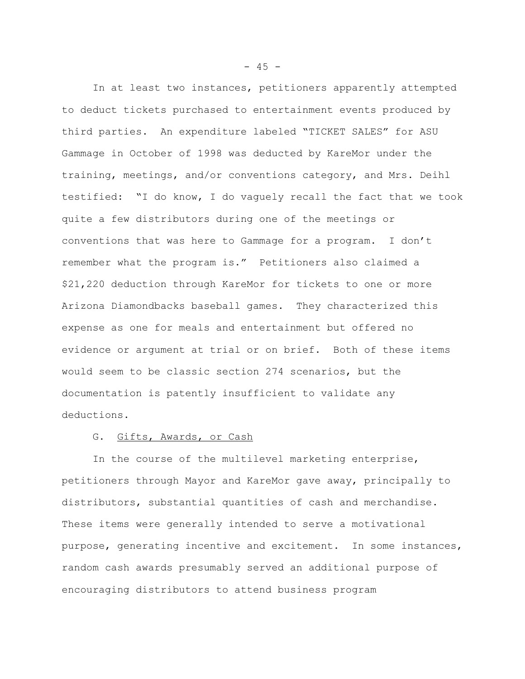In at least two instances, petitioners apparently attempted to deduct tickets purchased to entertainment events produced by third parties. An expenditure labeled "TICKET SALES" for ASU Gammage in October of 1998 was deducted by KareMor under the training, meetings, and/or conventions category, and Mrs. Deihl testified: "I do know, I do vaguely recall the fact that we took quite a few distributors during one of the meetings or conventions that was here to Gammage for a program. I don't remember what the program is." Petitioners also claimed a \$21,220 deduction through KareMor for tickets to one or more Arizona Diamondbacks baseball games. They characterized this expense as one for meals and entertainment but offered no evidence or argument at trial or on brief. Both of these items would seem to be classic section 274 scenarios, but the documentation is patently insufficient to validate any deductions.

### G. Gifts, Awards, or Cash

In the course of the multilevel marketing enterprise, petitioners through Mayor and KareMor gave away, principally to distributors, substantial quantities of cash and merchandise. These items were generally intended to serve a motivational purpose, generating incentive and excitement. In some instances, random cash awards presumably served an additional purpose of encouraging distributors to attend business program

 $- 45 -$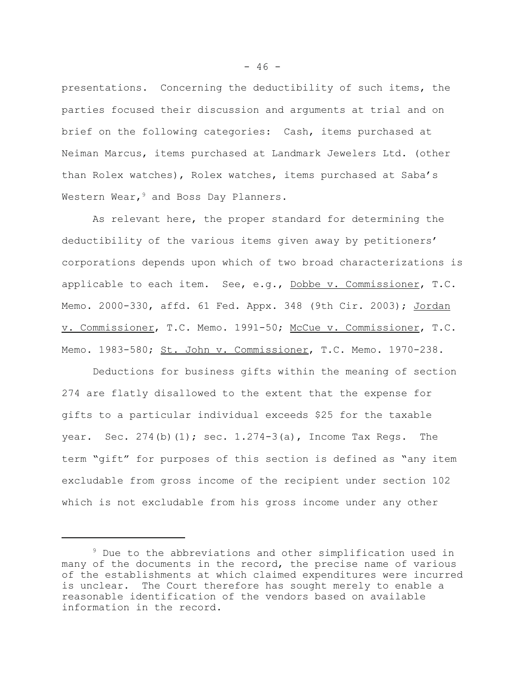presentations. Concerning the deductibility of such items, the parties focused their discussion and arguments at trial and on brief on the following categories: Cash, items purchased at Neiman Marcus, items purchased at Landmark Jewelers Ltd. (other than Rolex watches), Rolex watches, items purchased at Saba's Western Wear,  $9$  and Boss Day Planners.

As relevant here, the proper standard for determining the deductibility of the various items given away by petitioners' corporations depends upon which of two broad characterizations is applicable to each item. See, e.g., Dobbe v. Commissioner, T.C. Memo. 2000-330, affd. 61 Fed. Appx. 348 (9th Cir. 2003); Jordan v. Commissioner, T.C. Memo. 1991-50; McCue v. Commissioner, T.C. Memo. 1983-580; St. John v. Commissioner, T.C. Memo. 1970-238.

Deductions for business gifts within the meaning of section 274 are flatly disallowed to the extent that the expense for gifts to a particular individual exceeds \$25 for the taxable year. Sec.  $274(b)(1)$ ; sec.  $1.274-3(a)$ , Income Tax Regs. The term "gift" for purposes of this section is defined as "any item excludable from gross income of the recipient under section 102 which is not excludable from his gross income under any other

<sup>&</sup>lt;sup>9</sup> Due to the abbreviations and other simplification used in many of the documents in the record, the precise name of various of the establishments at which claimed expenditures were incurred is unclear. The Court therefore has sought merely to enable a reasonable identification of the vendors based on available information in the record.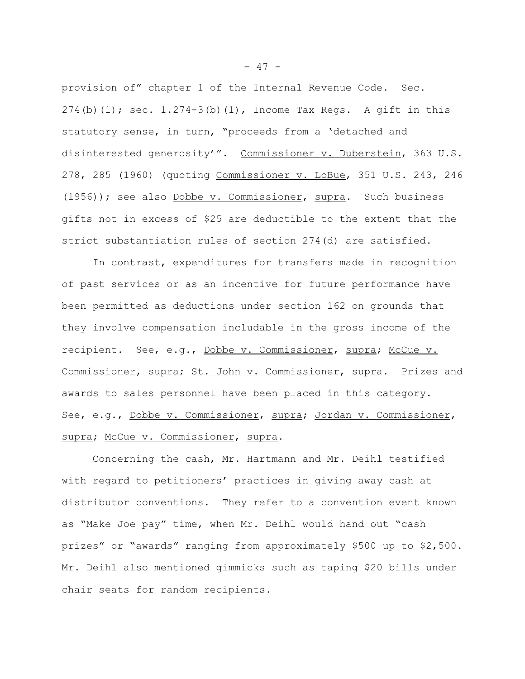provision of" chapter 1 of the Internal Revenue Code. Sec. 274(b)(1); sec.  $1.274-3$ (b)(1), Income Tax Regs. A gift in this statutory sense, in turn, "proceeds from a 'detached and disinterested generosity'". Commissioner v. Duberstein, 363 U.S. 278, 285 (1960) (quoting Commissioner v. LoBue, 351 U.S. 243, 246 (1956)); see also Dobbe v. Commissioner, supra. Such business gifts not in excess of \$25 are deductible to the extent that the strict substantiation rules of section 274(d) are satisfied.

In contrast, expenditures for transfers made in recognition of past services or as an incentive for future performance have been permitted as deductions under section 162 on grounds that they involve compensation includable in the gross income of the recipient. See, e.g., Dobbe v. Commissioner, supra; McCue v. Commissioner, supra; St. John v. Commissioner, supra. Prizes and awards to sales personnel have been placed in this category. See, e.g., Dobbe v. Commissioner, supra; Jordan v. Commissioner, supra; McCue v. Commissioner, supra.

Concerning the cash, Mr. Hartmann and Mr. Deihl testified with regard to petitioners' practices in giving away cash at distributor conventions. They refer to a convention event known as "Make Joe pay" time, when Mr. Deihl would hand out "cash prizes" or "awards" ranging from approximately \$500 up to \$2,500. Mr. Deihl also mentioned gimmicks such as taping \$20 bills under chair seats for random recipients.

 $- 47 -$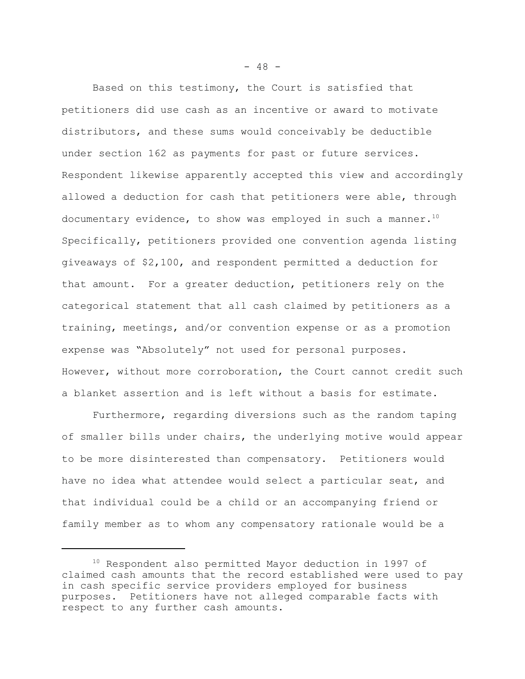Based on this testimony, the Court is satisfied that petitioners did use cash as an incentive or award to motivate distributors, and these sums would conceivably be deductible under section 162 as payments for past or future services. Respondent likewise apparently accepted this view and accordingly allowed a deduction for cash that petitioners were able, through documentary evidence, to show was employed in such a manner.<sup>10</sup> Specifically, petitioners provided one convention agenda listing giveaways of \$2,100, and respondent permitted a deduction for that amount. For a greater deduction, petitioners rely on the categorical statement that all cash claimed by petitioners as a training, meetings, and/or convention expense or as a promotion expense was "Absolutely" not used for personal purposes. However, without more corroboration, the Court cannot credit such a blanket assertion and is left without a basis for estimate.

Furthermore, regarding diversions such as the random taping of smaller bills under chairs, the underlying motive would appear to be more disinterested than compensatory. Petitioners would have no idea what attendee would select a particular seat, and that individual could be a child or an accompanying friend or family member as to whom any compensatory rationale would be a

 $- 48 -$ 

<sup>&</sup>lt;sup>10</sup> Respondent also permitted Mayor deduction in 1997 of claimed cash amounts that the record established were used to pay in cash specific service providers employed for business purposes. Petitioners have not alleged comparable facts with respect to any further cash amounts.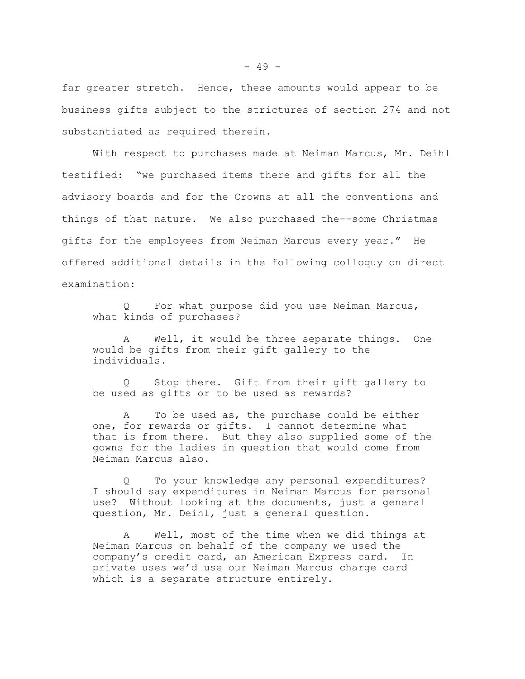far greater stretch. Hence, these amounts would appear to be business gifts subject to the strictures of section 274 and not substantiated as required therein.

With respect to purchases made at Neiman Marcus, Mr. Deihl testified: "we purchased items there and gifts for all the advisory boards and for the Crowns at all the conventions and things of that nature. We also purchased the--some Christmas gifts for the employees from Neiman Marcus every year." He offered additional details in the following colloquy on direct examination:

For what purpose did you use Neiman Marcus, what kinds of purchases?

A Well, it would be three separate things. One would be gifts from their gift gallery to the individuals.

Q Stop there. Gift from their gift gallery to be used as gifts or to be used as rewards?

A To be used as, the purchase could be either one, for rewards or gifts. I cannot determine what that is from there. But they also supplied some of the gowns for the ladies in question that would come from Neiman Marcus also.

Q To your knowledge any personal expenditures? I should say expenditures in Neiman Marcus for personal use? Without looking at the documents, just a general question, Mr. Deihl, just a general question.

A Well, most of the time when we did things at Neiman Marcus on behalf of the company we used the company's credit card, an American Express card. In private uses we'd use our Neiman Marcus charge card which is a separate structure entirely.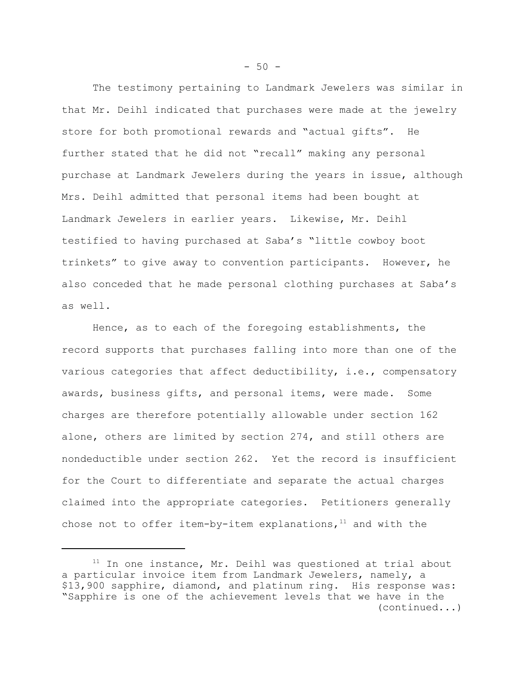The testimony pertaining to Landmark Jewelers was similar in that Mr. Deihl indicated that purchases were made at the jewelry store for both promotional rewards and "actual gifts". He further stated that he did not "recall" making any personal purchase at Landmark Jewelers during the years in issue, although Mrs. Deihl admitted that personal items had been bought at Landmark Jewelers in earlier years. Likewise, Mr. Deihl testified to having purchased at Saba's "little cowboy boot trinkets" to give away to convention participants. However, he also conceded that he made personal clothing purchases at Saba's as well.

Hence, as to each of the foregoing establishments, the record supports that purchases falling into more than one of the various categories that affect deductibility, i.e., compensatory awards, business gifts, and personal items, were made. Some charges are therefore potentially allowable under section 162 alone, others are limited by section 274, and still others are nondeductible under section 262. Yet the record is insufficient for the Court to differentiate and separate the actual charges claimed into the appropriate categories. Petitioners generally chose not to offer item-by-item explanations, $11$  and with the

 $-50 -$ 

 $11$  In one instance, Mr. Deihl was questioned at trial about a particular invoice item from Landmark Jewelers, namely, a \$13,900 sapphire, diamond, and platinum ring. His response was: "Sapphire is one of the achievement levels that we have in the (continued...)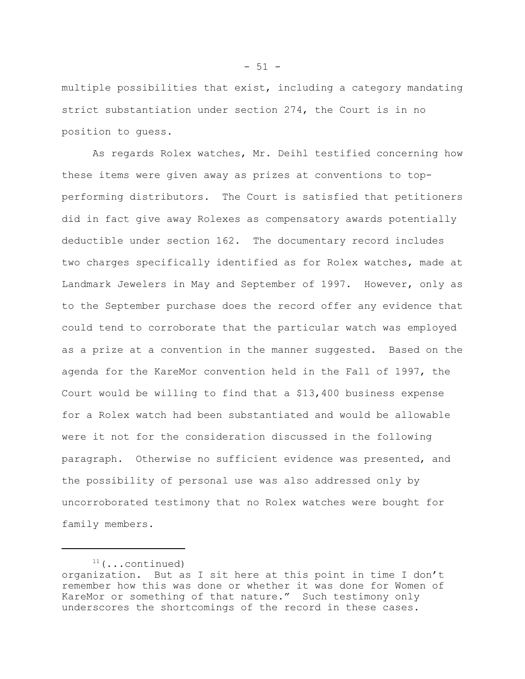multiple possibilities that exist, including a category mandating strict substantiation under section 274, the Court is in no position to guess.

As regards Rolex watches, Mr. Deihl testified concerning how these items were given away as prizes at conventions to topperforming distributors. The Court is satisfied that petitioners did in fact give away Rolexes as compensatory awards potentially deductible under section 162. The documentary record includes two charges specifically identified as for Rolex watches, made at Landmark Jewelers in May and September of 1997. However, only as to the September purchase does the record offer any evidence that could tend to corroborate that the particular watch was employed as a prize at a convention in the manner suggested. Based on the agenda for the KareMor convention held in the Fall of 1997, the Court would be willing to find that a \$13,400 business expense for a Rolex watch had been substantiated and would be allowable were it not for the consideration discussed in the following paragraph. Otherwise no sufficient evidence was presented, and the possibility of personal use was also addressed only by uncorroborated testimony that no Rolex watches were bought for family members.

 $-51 -$ 

 $11$  (...continued) organization. But as I sit here at this point in time I don't remember how this was done or whether it was done for Women of KareMor or something of that nature." Such testimony only underscores the shortcomings of the record in these cases.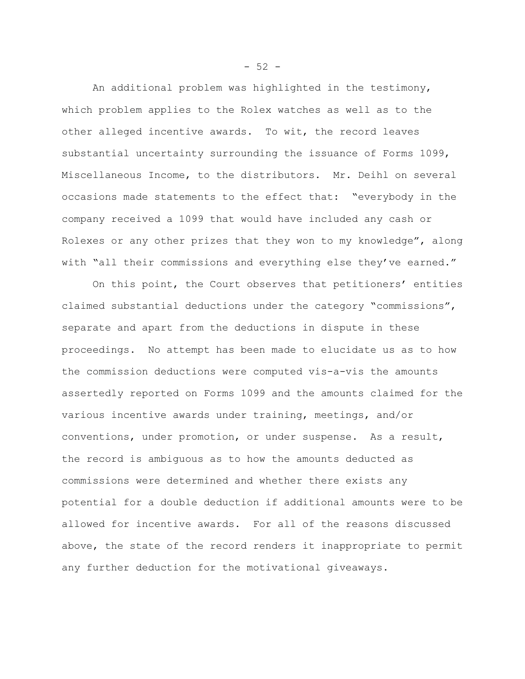An additional problem was highlighted in the testimony, which problem applies to the Rolex watches as well as to the other alleged incentive awards. To wit, the record leaves substantial uncertainty surrounding the issuance of Forms 1099, Miscellaneous Income, to the distributors. Mr. Deihl on several occasions made statements to the effect that: "everybody in the company received a 1099 that would have included any cash or Rolexes or any other prizes that they won to my knowledge", along with "all their commissions and everything else they've earned."

On this point, the Court observes that petitioners' entities claimed substantial deductions under the category "commissions", separate and apart from the deductions in dispute in these proceedings. No attempt has been made to elucidate us as to how the commission deductions were computed vis-a-vis the amounts assertedly reported on Forms 1099 and the amounts claimed for the various incentive awards under training, meetings, and/or conventions, under promotion, or under suspense. As a result, the record is ambiguous as to how the amounts deducted as commissions were determined and whether there exists any potential for a double deduction if additional amounts were to be allowed for incentive awards. For all of the reasons discussed above, the state of the record renders it inappropriate to permit any further deduction for the motivational giveaways.

 $-52 -$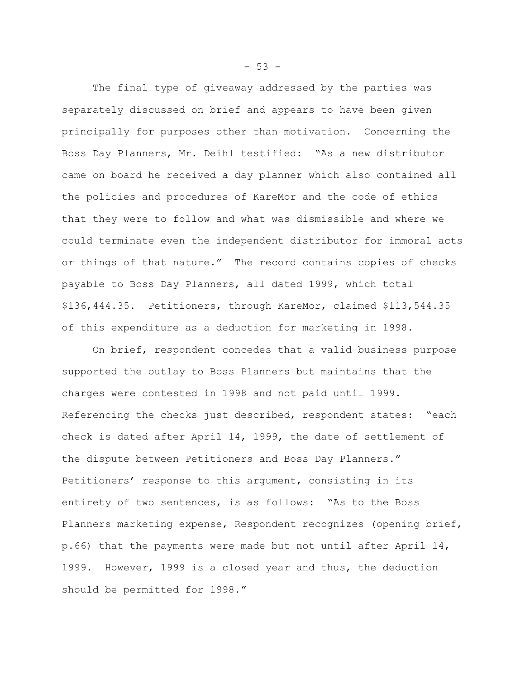The final type of giveaway addressed by the parties was separately discussed on brief and appears to have been given principally for purposes other than motivation. Concerning the Boss Day Planners, Mr. Deihl testified: "As a new distributor came on board he received a day planner which also contained all the policies and procedures of KareMor and the code of ethics that they were to follow and what was dismissible and where we could terminate even the independent distributor for immoral acts or things of that nature." The record contains copies of checks payable to Boss Day Planners, all dated 1999, which total \$136,444.35. Petitioners, through KareMor, claimed \$113,544.35 of this expenditure as a deduction for marketing in 1998.

On brief, respondent concedes that a valid business purpose supported the outlay to Boss Planners but maintains that the charges were contested in 1998 and not paid until 1999. Referencing the checks just described, respondent states: "each check is dated after April 14, 1999, the date of settlement of the dispute between Petitioners and Boss Day Planners." Petitioners' response to this argument, consisting in its entirety of two sentences, is as follows: "As to the Boss Planners marketing expense, Respondent recognizes (opening brief, p.66) that the payments were made but not until after April 14, 1999. However, 1999 is a closed year and thus, the deduction should be permitted for 1998."

 $-53 -$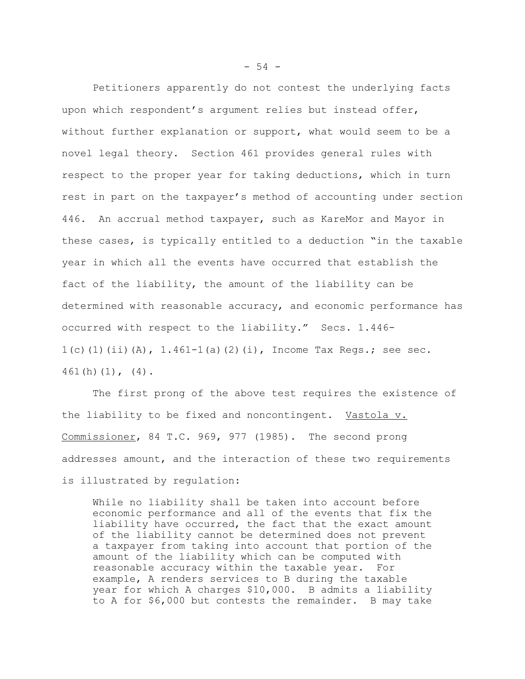Petitioners apparently do not contest the underlying facts upon which respondent's argument relies but instead offer, without further explanation or support, what would seem to be a novel legal theory. Section 461 provides general rules with respect to the proper year for taking deductions, which in turn rest in part on the taxpayer's method of accounting under section 446. An accrual method taxpayer, such as KareMor and Mayor in these cases, is typically entitled to a deduction "in the taxable year in which all the events have occurred that establish the fact of the liability, the amount of the liability can be determined with reasonable accuracy, and economic performance has occurred with respect to the liability." Secs. 1.446-  $1(c)$ (1)(ii)(A),  $1.461-1(a)$ (2)(i), Income Tax Regs.; see sec. 461(h)(1), (4).

The first prong of the above test requires the existence of the liability to be fixed and noncontingent. Vastola v. Commissioner, 84 T.C. 969, 977 (1985). The second prong addresses amount, and the interaction of these two requirements is illustrated by regulation:

While no liability shall be taken into account before economic performance and all of the events that fix the liability have occurred, the fact that the exact amount of the liability cannot be determined does not prevent a taxpayer from taking into account that portion of the amount of the liability which can be computed with reasonable accuracy within the taxable year. For example, A renders services to B during the taxable year for which A charges \$10,000. B admits a liability to A for \$6,000 but contests the remainder. B may take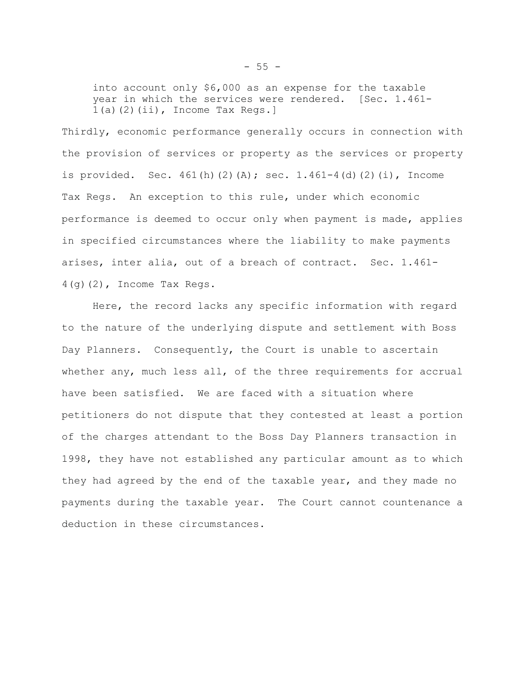into account only \$6,000 as an expense for the taxable year in which the services were rendered. [Sec. 1.461- $1(a)(2)(ii)$ , Income Tax Regs.]

Thirdly, economic performance generally occurs in connection with the provision of services or property as the services or property is provided. Sec.  $461(h)(2)(A)$ ; sec.  $1.461-4(d)(2)(i)$ , Income Tax Regs. An exception to this rule, under which economic performance is deemed to occur only when payment is made, applies in specified circumstances where the liability to make payments arises, inter alia, out of a breach of contract. Sec. 1.461-  $4(q)(2)$ , Income Tax Regs.

Here, the record lacks any specific information with regard to the nature of the underlying dispute and settlement with Boss Day Planners. Consequently, the Court is unable to ascertain whether any, much less all, of the three requirements for accrual have been satisfied. We are faced with a situation where petitioners do not dispute that they contested at least a portion of the charges attendant to the Boss Day Planners transaction in 1998, they have not established any particular amount as to which they had agreed by the end of the taxable year, and they made no payments during the taxable year. The Court cannot countenance a deduction in these circumstances.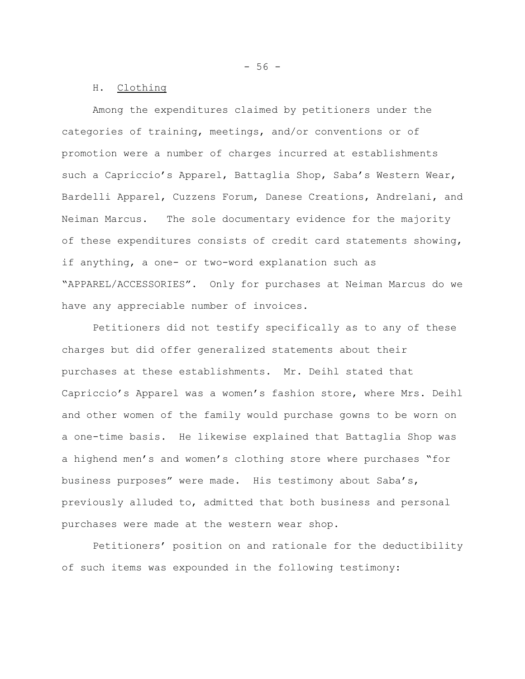$-56 -$ 

#### H. Clothing

Among the expenditures claimed by petitioners under the categories of training, meetings, and/or conventions or of promotion were a number of charges incurred at establishments such a Capriccio's Apparel, Battaglia Shop, Saba's Western Wear, Bardelli Apparel, Cuzzens Forum, Danese Creations, Andrelani, and Neiman Marcus. The sole documentary evidence for the majority of these expenditures consists of credit card statements showing, if anything, a one- or two-word explanation such as "APPAREL/ACCESSORIES". Only for purchases at Neiman Marcus do we have any appreciable number of invoices.

Petitioners did not testify specifically as to any of these charges but did offer generalized statements about their purchases at these establishments. Mr. Deihl stated that Capriccio's Apparel was a women's fashion store, where Mrs. Deihl and other women of the family would purchase gowns to be worn on a one-time basis. He likewise explained that Battaglia Shop was a highend men's and women's clothing store where purchases "for business purposes" were made. His testimony about Saba's, previously alluded to, admitted that both business and personal purchases were made at the western wear shop.

Petitioners' position on and rationale for the deductibility of such items was expounded in the following testimony: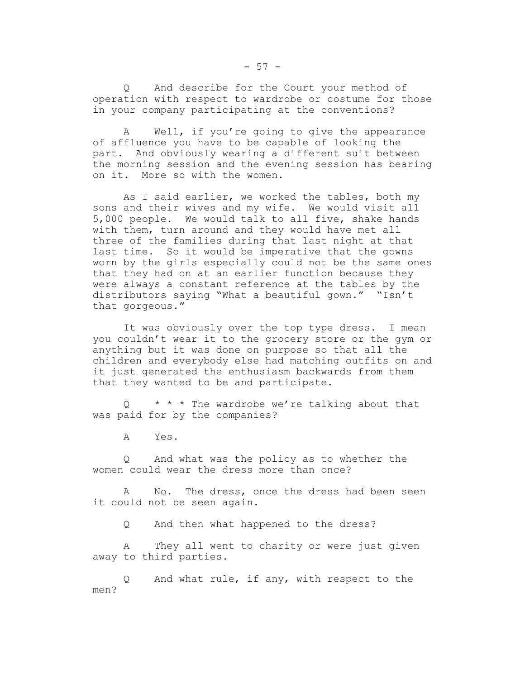Q And describe for the Court your method of operation with respect to wardrobe or costume for those in your company participating at the conventions?

A Well, if you're going to give the appearance of affluence you have to be capable of looking the part. And obviously wearing a different suit between the morning session and the evening session has bearing on it. More so with the women.

As I said earlier, we worked the tables, both my sons and their wives and my wife. We would visit all 5,000 people. We would talk to all five, shake hands with them, turn around and they would have met all three of the families during that last night at that last time. So it would be imperative that the gowns worn by the girls especially could not be the same ones that they had on at an earlier function because they were always a constant reference at the tables by the distributors saying "What a beautiful gown." "Isn't that gorgeous."

It was obviously over the top type dress. I mean you couldn't wear it to the grocery store or the gym or anything but it was done on purpose so that all the children and everybody else had matching outfits on and it just generated the enthusiasm backwards from them that they wanted to be and participate.

 $Q \rightarrow \star \star \star$  The wardrobe we're talking about that was paid for by the companies?

A Yes.

Q And what was the policy as to whether the women could wear the dress more than once?

A No. The dress, once the dress had been seen it could not be seen again.

Q And then what happened to the dress?

A They all went to charity or were just given away to third parties.

Q And what rule, if any, with respect to the men?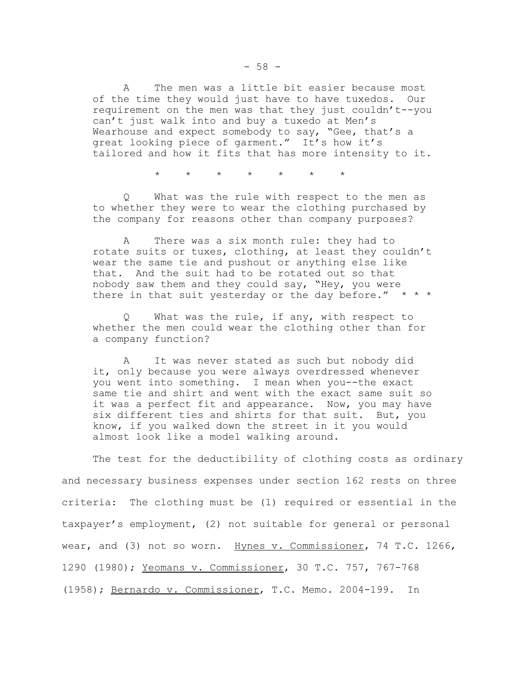A The men was a little bit easier because most of the time they would just have to have tuxedos. Our requirement on the men was that they just couldn't--you can't just walk into and buy a tuxedo at Men's Wearhouse and expect somebody to say, "Gee, that's a great looking piece of garment." It's how it's tailored and how it fits that has more intensity to it.

\* \* \* \* \* \* \*

Q What was the rule with respect to the men as to whether they were to wear the clothing purchased by the company for reasons other than company purposes?

A There was a six month rule: they had to rotate suits or tuxes, clothing, at least they couldn't wear the same tie and pushout or anything else like that. And the suit had to be rotated out so that nobody saw them and they could say, "Hey, you were there in that suit yesterday or the day before."  $* * *$ 

Q What was the rule, if any, with respect to whether the men could wear the clothing other than for a company function?

A It was never stated as such but nobody did it, only because you were always overdressed whenever you went into something. I mean when you--the exact same tie and shirt and went with the exact same suit so it was a perfect fit and appearance. Now, you may have six different ties and shirts for that suit. But, you know, if you walked down the street in it you would almost look like a model walking around.

The test for the deductibility of clothing costs as ordinary and necessary business expenses under section 162 rests on three criteria: The clothing must be (1) required or essential in the taxpayer's employment, (2) not suitable for general or personal wear, and (3) not so worn. Hynes v. Commissioner, 74 T.C. 1266, 1290 (1980); Yeomans v. Commissioner, 30 T.C. 757, 767-768 (1958); Bernardo v. Commissioner, T.C. Memo. 2004-199. In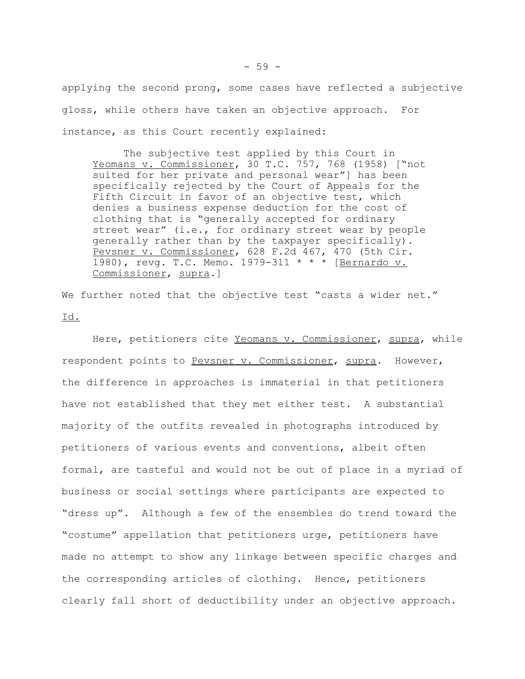applying the second prong, some cases have reflected a subjective gloss, while others have taken an objective approach. For instance, as this Court recently explained:

The subjective test applied by this Court in Yeomans v. Commissioner, 30 T.C. 757, 768 (1958) ["not suited for her private and personal wear"] has been specifically rejected by the Court of Appeals for the Fifth Circuit in favor of an objective test, which denies a business expense deduction for the cost of clothing that is "generally accepted for ordinary street wear" (i.e., for ordinary street wear by people generally rather than by the taxpayer specifically). Pevsner v. Commissioner, 628 F.2d 467, 470 (5th Cir. 1980), revg. T.C. Memo. 1979-311 \* \* \* [Bernardo v. Commissioner, supra.]

We further noted that the objective test "casts a wider net." Id.

Here, petitioners cite Yeomans v. Commissioner, supra, while respondent points to Pevsner v. Commissioner, supra. However, the difference in approaches is immaterial in that petitioners have not established that they met either test. A substantial majority of the outfits revealed in photographs introduced by petitioners of various events and conventions, albeit often formal, are tasteful and would not be out of place in a myriad of business or social settings where participants are expected to "dress up". Although a few of the ensembles do trend toward the "costume" appellation that petitioners urge, petitioners have made no attempt to show any linkage between specific charges and the corresponding articles of clothing. Hence, petitioners clearly fall short of deductibility under an objective approach.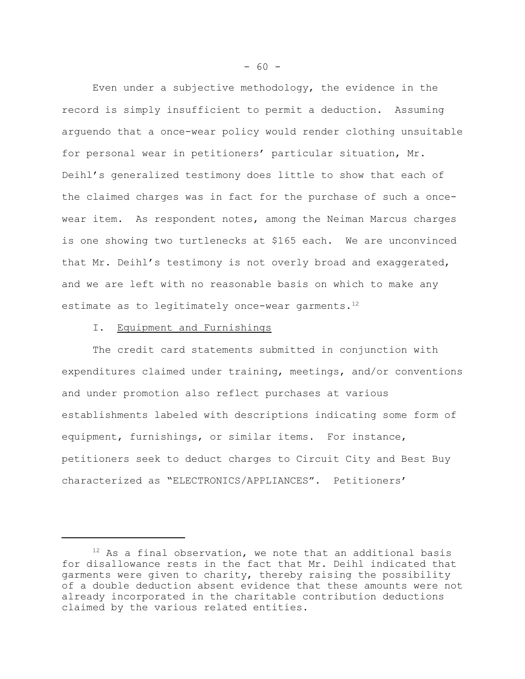Even under a subjective methodology, the evidence in the record is simply insufficient to permit a deduction. Assuming arguendo that a once-wear policy would render clothing unsuitable for personal wear in petitioners' particular situation, Mr. Deihl's generalized testimony does little to show that each of the claimed charges was in fact for the purchase of such a oncewear item. As respondent notes, among the Neiman Marcus charges is one showing two turtlenecks at \$165 each. We are unconvinced that Mr. Deihl's testimony is not overly broad and exaggerated, and we are left with no reasonable basis on which to make any estimate as to legitimately once-wear garments. $12$ 

### I. Equipment and Furnishings

The credit card statements submitted in conjunction with expenditures claimed under training, meetings, and/or conventions and under promotion also reflect purchases at various establishments labeled with descriptions indicating some form of equipment, furnishings, or similar items. For instance, petitioners seek to deduct charges to Circuit City and Best Buy characterized as "ELECTRONICS/APPLIANCES". Petitioners'

 $12$  As a final observation, we note that an additional basis for disallowance rests in the fact that Mr. Deihl indicated that garments were given to charity, thereby raising the possibility of a double deduction absent evidence that these amounts were not already incorporated in the charitable contribution deductions claimed by the various related entities.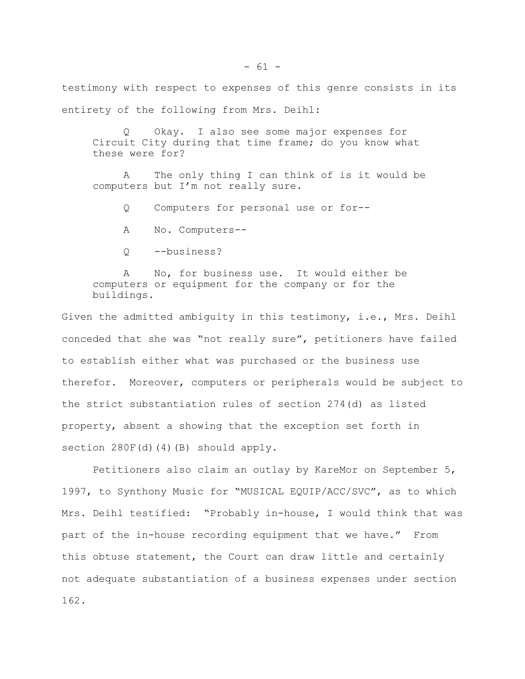testimony with respect to expenses of this genre consists in its entirety of the following from Mrs. Deihl:

Okay. I also see some major expenses for Circuit City during that time frame; do you know what these were for?

A The only thing I can think of is it would be computers but I'm not really sure.

Q Computers for personal use or for--

A No. Computers--

Q --business?

A No, for business use. It would either be computers or equipment for the company or for the buildings.

Given the admitted ambiguity in this testimony, i.e., Mrs. Deihl conceded that she was "not really sure", petitioners have failed to establish either what was purchased or the business use therefor. Moreover, computers or peripherals would be subject to the strict substantiation rules of section 274(d) as listed property, absent a showing that the exception set forth in section 280F(d)(4)(B) should apply.

Petitioners also claim an outlay by KareMor on September 5, 1997, to Synthony Music for "MUSICAL EQUIP/ACC/SVC", as to which Mrs. Deihl testified: "Probably in-house, I would think that was part of the in-house recording equipment that we have." From this obtuse statement, the Court can draw little and certainly not adequate substantiation of a business expenses under section 162.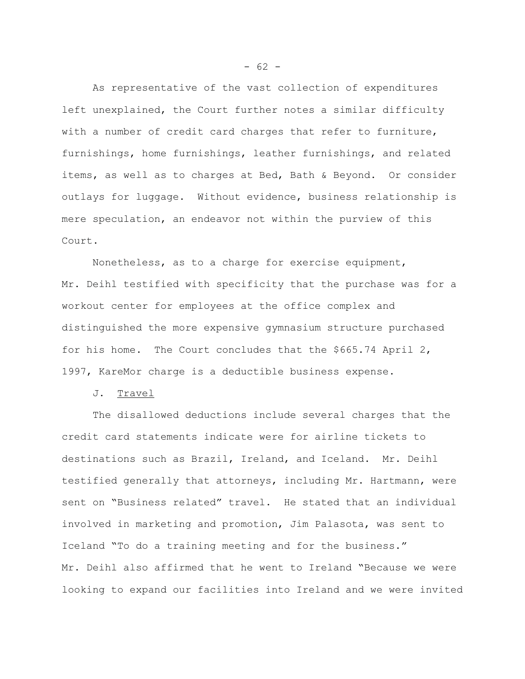As representative of the vast collection of expenditures left unexplained, the Court further notes a similar difficulty with a number of credit card charges that refer to furniture, furnishings, home furnishings, leather furnishings, and related items, as well as to charges at Bed, Bath & Beyond. Or consider outlays for luggage. Without evidence, business relationship is mere speculation, an endeavor not within the purview of this Court.

Nonetheless, as to a charge for exercise equipment, Mr. Deihl testified with specificity that the purchase was for a workout center for employees at the office complex and distinguished the more expensive gymnasium structure purchased for his home. The Court concludes that the \$665.74 April 2, 1997, KareMor charge is a deductible business expense.

J. Travel

The disallowed deductions include several charges that the credit card statements indicate were for airline tickets to destinations such as Brazil, Ireland, and Iceland. Mr. Deihl testified generally that attorneys, including Mr. Hartmann, were sent on "Business related" travel. He stated that an individual involved in marketing and promotion, Jim Palasota, was sent to Iceland "To do a training meeting and for the business." Mr. Deihl also affirmed that he went to Ireland "Because we were looking to expand our facilities into Ireland and we were invited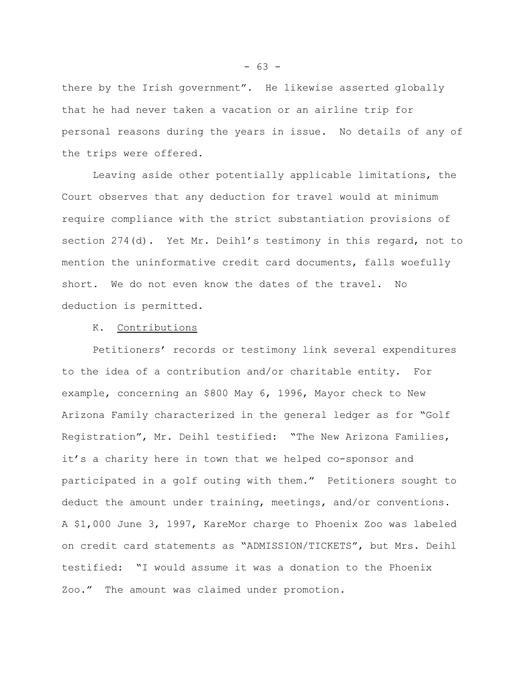there by the Irish government". He likewise asserted globally that he had never taken a vacation or an airline trip for personal reasons during the years in issue. No details of any of the trips were offered.

Leaving aside other potentially applicable limitations, the Court observes that any deduction for travel would at minimum require compliance with the strict substantiation provisions of section 274(d). Yet Mr. Deihl's testimony in this regard, not to mention the uninformative credit card documents, falls woefully short. We do not even know the dates of the travel. No deduction is permitted.

#### K. Contributions

Petitioners' records or testimony link several expenditures to the idea of a contribution and/or charitable entity. For example, concerning an \$800 May 6, 1996, Mayor check to New Arizona Family characterized in the general ledger as for "Golf Registration", Mr. Deihl testified: "The New Arizona Families, it's a charity here in town that we helped co-sponsor and participated in a golf outing with them." Petitioners sought to deduct the amount under training, meetings, and/or conventions. A \$1,000 June 3, 1997, KareMor charge to Phoenix Zoo was labeled on credit card statements as "ADMISSION/TICKETS", but Mrs. Deihl testified: "I would assume it was a donation to the Phoenix Zoo." The amount was claimed under promotion.

 $- 63 -$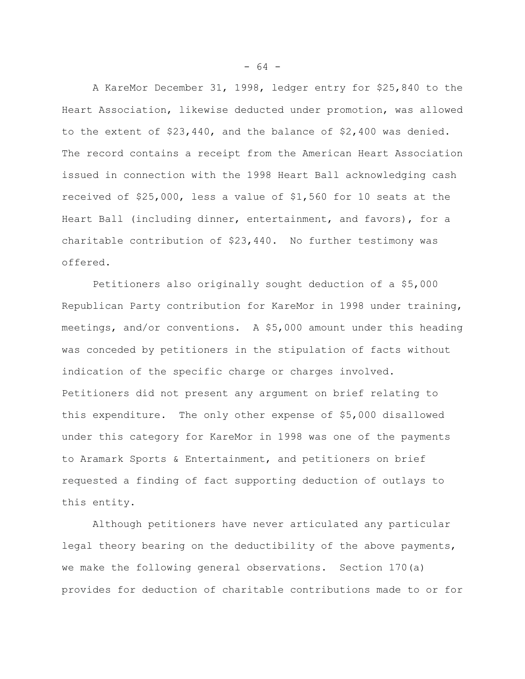A KareMor December 31, 1998, ledger entry for \$25,840 to the Heart Association, likewise deducted under promotion, was allowed to the extent of \$23,440, and the balance of \$2,400 was denied. The record contains a receipt from the American Heart Association issued in connection with the 1998 Heart Ball acknowledging cash received of \$25,000, less a value of \$1,560 for 10 seats at the Heart Ball (including dinner, entertainment, and favors), for a charitable contribution of \$23,440. No further testimony was offered.

Petitioners also originally sought deduction of a \$5,000 Republican Party contribution for KareMor in 1998 under training, meetings, and/or conventions. A \$5,000 amount under this heading was conceded by petitioners in the stipulation of facts without indication of the specific charge or charges involved. Petitioners did not present any argument on brief relating to this expenditure. The only other expense of \$5,000 disallowed under this category for KareMor in 1998 was one of the payments to Aramark Sports & Entertainment, and petitioners on brief requested a finding of fact supporting deduction of outlays to this entity.

Although petitioners have never articulated any particular legal theory bearing on the deductibility of the above payments, we make the following general observations. Section 170(a) provides for deduction of charitable contributions made to or for

 $- 64 -$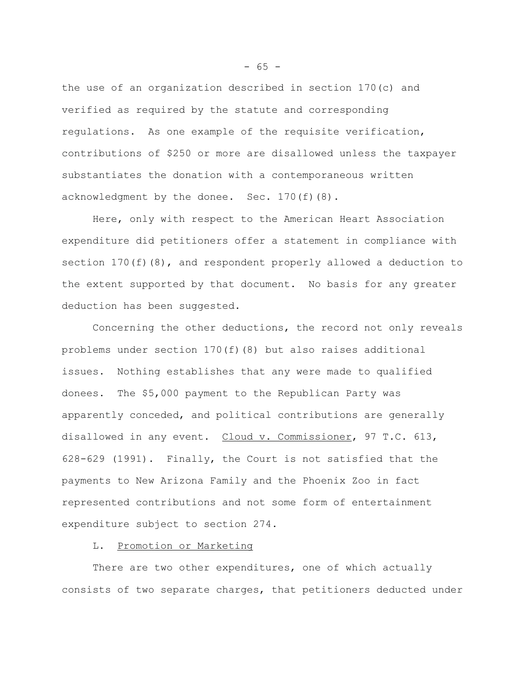the use of an organization described in section 170(c) and verified as required by the statute and corresponding regulations. As one example of the requisite verification, contributions of \$250 or more are disallowed unless the taxpayer substantiates the donation with a contemporaneous written acknowledgment by the donee. Sec. 170(f)(8).

Here, only with respect to the American Heart Association expenditure did petitioners offer a statement in compliance with section  $170(f)(8)$ , and respondent properly allowed a deduction to the extent supported by that document. No basis for any greater deduction has been suggested.

Concerning the other deductions, the record not only reveals problems under section 170(f)(8) but also raises additional issues. Nothing establishes that any were made to qualified donees. The \$5,000 payment to the Republican Party was apparently conceded, and political contributions are generally disallowed in any event. Cloud v. Commissioner, 97 T.C. 613, 628-629 (1991). Finally, the Court is not satisfied that the payments to New Arizona Family and the Phoenix Zoo in fact represented contributions and not some form of entertainment expenditure subject to section 274.

# L. Promotion or Marketing

There are two other expenditures, one of which actually consists of two separate charges, that petitioners deducted under

 $- 65 -$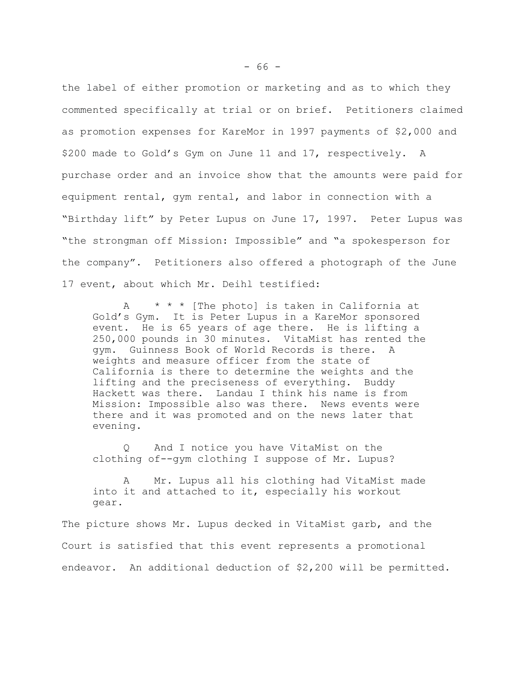the label of either promotion or marketing and as to which they commented specifically at trial or on brief. Petitioners claimed as promotion expenses for KareMor in 1997 payments of \$2,000 and \$200 made to Gold's Gym on June 11 and 17, respectively. A purchase order and an invoice show that the amounts were paid for equipment rental, gym rental, and labor in connection with a "Birthday lift" by Peter Lupus on June 17, 1997. Peter Lupus was "the strongman off Mission: Impossible" and "a spokesperson for the company". Petitioners also offered a photograph of the June 17 event, about which Mr. Deihl testified:

A \* \* \* [The photo] is taken in California at Gold's Gym. It is Peter Lupus in a KareMor sponsored event. He is 65 years of age there. He is lifting a 250,000 pounds in 30 minutes. VitaMist has rented the gym. Guinness Book of World Records is there. A weights and measure officer from the state of California is there to determine the weights and the lifting and the preciseness of everything. Buddy Hackett was there. Landau I think his name is from Mission: Impossible also was there. News events were there and it was promoted and on the news later that evening.

Q And I notice you have VitaMist on the clothing of--gym clothing I suppose of Mr. Lupus?

A Mr. Lupus all his clothing had VitaMist made into it and attached to it, especially his workout gear.

The picture shows Mr. Lupus decked in VitaMist garb, and the Court is satisfied that this event represents a promotional endeavor. An additional deduction of \$2,200 will be permitted.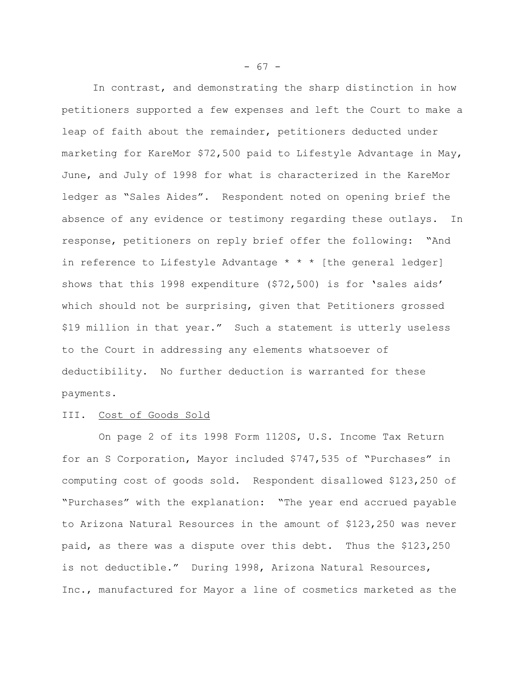In contrast, and demonstrating the sharp distinction in how petitioners supported a few expenses and left the Court to make a leap of faith about the remainder, petitioners deducted under marketing for KareMor \$72,500 paid to Lifestyle Advantage in May, June, and July of 1998 for what is characterized in the KareMor ledger as "Sales Aides". Respondent noted on opening brief the absence of any evidence or testimony regarding these outlays. In response, petitioners on reply brief offer the following: "And in reference to Lifestyle Advantage \* \* \* [the general ledger] shows that this 1998 expenditure (\$72,500) is for 'sales aids' which should not be surprising, given that Petitioners grossed \$19 million in that year." Such a statement is utterly useless to the Court in addressing any elements whatsoever of deductibility. No further deduction is warranted for these payments.

### III. Cost of Goods Sold

 On page 2 of its 1998 Form 1120S, U.S. Income Tax Return for an S Corporation, Mayor included \$747,535 of "Purchases" in computing cost of goods sold. Respondent disallowed \$123,250 of "Purchases" with the explanation: "The year end accrued payable to Arizona Natural Resources in the amount of \$123,250 was never paid, as there was a dispute over this debt. Thus the \$123,250 is not deductible." During 1998, Arizona Natural Resources, Inc., manufactured for Mayor a line of cosmetics marketed as the

 $- 67 -$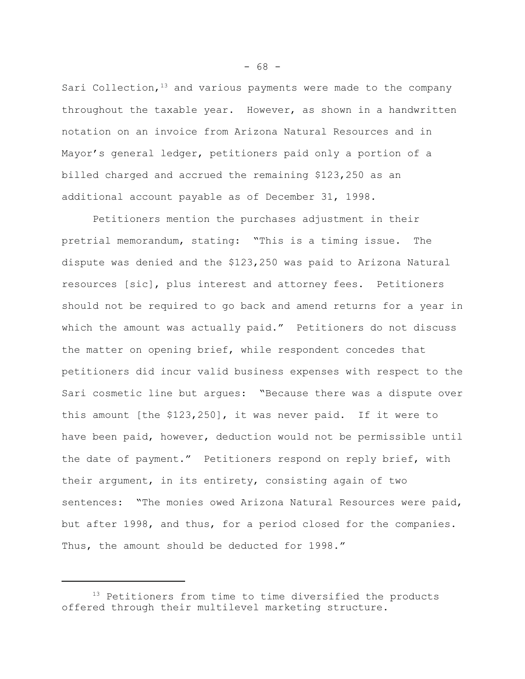Sari Collection,  $13$  and various payments were made to the company throughout the taxable year. However, as shown in a handwritten notation on an invoice from Arizona Natural Resources and in Mayor's general ledger, petitioners paid only a portion of a billed charged and accrued the remaining \$123,250 as an additional account payable as of December 31, 1998.

Petitioners mention the purchases adjustment in their pretrial memorandum, stating: "This is a timing issue. The dispute was denied and the \$123,250 was paid to Arizona Natural resources [sic], plus interest and attorney fees. Petitioners should not be required to go back and amend returns for a year in which the amount was actually paid." Petitioners do not discuss the matter on opening brief, while respondent concedes that petitioners did incur valid business expenses with respect to the Sari cosmetic line but argues: "Because there was a dispute over this amount [the \$123,250], it was never paid. If it were to have been paid, however, deduction would not be permissible until the date of payment." Petitioners respond on reply brief, with their argument, in its entirety, consisting again of two sentences: "The monies owed Arizona Natural Resources were paid, but after 1998, and thus, for a period closed for the companies. Thus, the amount should be deducted for 1998."

 $- 68 -$ 

 $13$  Petitioners from time to time diversified the products offered through their multilevel marketing structure.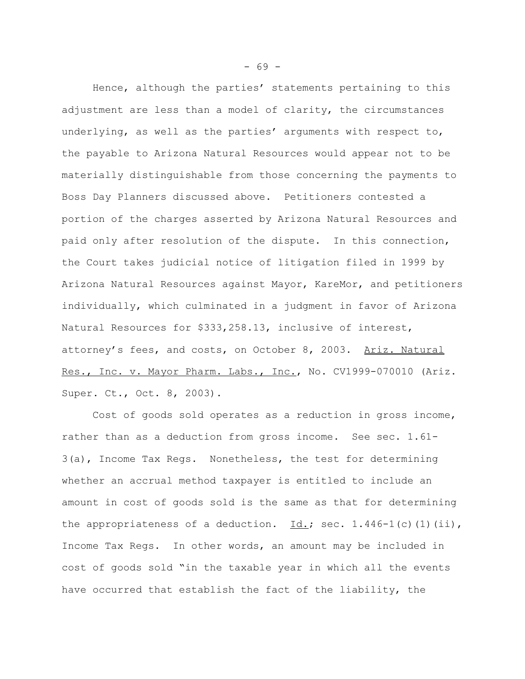Hence, although the parties' statements pertaining to this adjustment are less than a model of clarity, the circumstances underlying, as well as the parties' arguments with respect to, the payable to Arizona Natural Resources would appear not to be materially distinguishable from those concerning the payments to Boss Day Planners discussed above. Petitioners contested a portion of the charges asserted by Arizona Natural Resources and paid only after resolution of the dispute. In this connection, the Court takes judicial notice of litigation filed in 1999 by Arizona Natural Resources against Mayor, KareMor, and petitioners individually, which culminated in a judgment in favor of Arizona Natural Resources for \$333,258.13, inclusive of interest, attorney's fees, and costs, on October 8, 2003. Ariz. Natural Res., Inc. v. Mayor Pharm. Labs., Inc., No. CV1999-070010 (Ariz. Super. Ct., Oct. 8, 2003).

Cost of goods sold operates as a reduction in gross income, rather than as a deduction from gross income. See sec. 1.61- 3(a), Income Tax Regs. Nonetheless, the test for determining whether an accrual method taxpayer is entitled to include an amount in cost of goods sold is the same as that for determining the appropriateness of a deduction.  $\underline{Id.}$ ; sec. 1.446-1(c)(1)(ii), Income Tax Regs. In other words, an amount may be included in cost of goods sold "in the taxable year in which all the events have occurred that establish the fact of the liability, the

- 69 -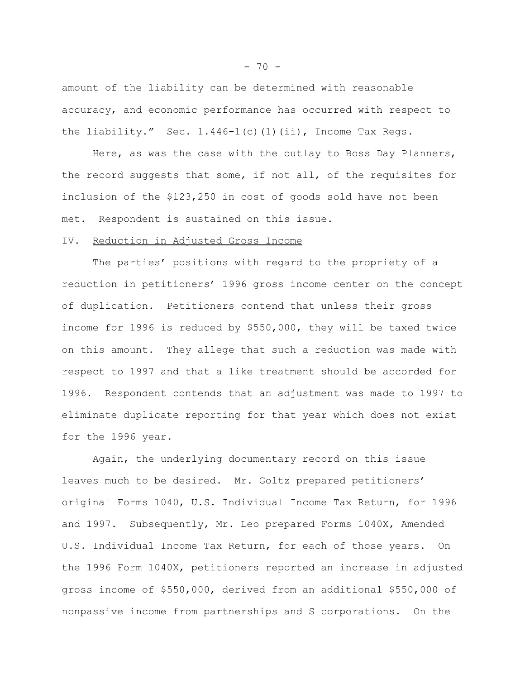amount of the liability can be determined with reasonable accuracy, and economic performance has occurred with respect to the liability." Sec.  $1.446-1(c)$  (1)(ii), Income Tax Regs.

Here, as was the case with the outlay to Boss Day Planners, the record suggests that some, if not all, of the requisites for inclusion of the \$123,250 in cost of goods sold have not been met. Respondent is sustained on this issue.

## IV. Reduction in Adjusted Gross Income

The parties' positions with regard to the propriety of a reduction in petitioners' 1996 gross income center on the concept of duplication. Petitioners contend that unless their gross income for 1996 is reduced by \$550,000, they will be taxed twice on this amount. They allege that such a reduction was made with respect to 1997 and that a like treatment should be accorded for 1996. Respondent contends that an adjustment was made to 1997 to eliminate duplicate reporting for that year which does not exist for the 1996 year.

Again, the underlying documentary record on this issue leaves much to be desired. Mr. Goltz prepared petitioners' original Forms 1040, U.S. Individual Income Tax Return, for 1996 and 1997. Subsequently, Mr. Leo prepared Forms 1040X, Amended U.S. Individual Income Tax Return, for each of those years. On the 1996 Form 1040X, petitioners reported an increase in adjusted gross income of \$550,000, derived from an additional \$550,000 of nonpassive income from partnerships and S corporations. On the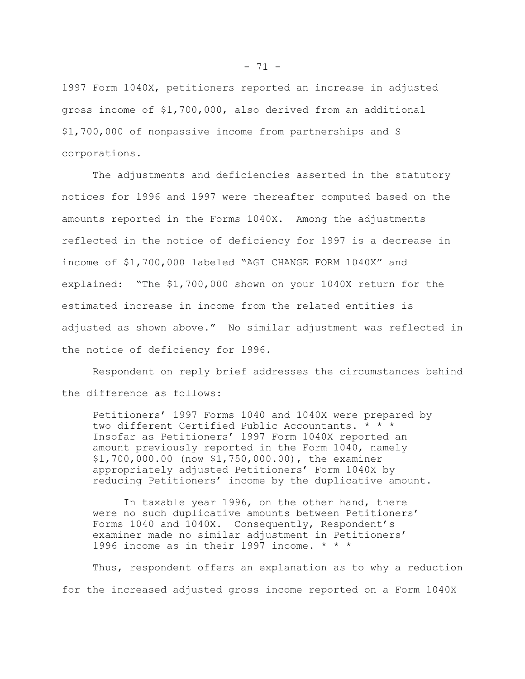1997 Form 1040X, petitioners reported an increase in adjusted gross income of \$1,700,000, also derived from an additional \$1,700,000 of nonpassive income from partnerships and S corporations.

The adjustments and deficiencies asserted in the statutory notices for 1996 and 1997 were thereafter computed based on the amounts reported in the Forms 1040X. Among the adjustments reflected in the notice of deficiency for 1997 is a decrease in income of \$1,700,000 labeled "AGI CHANGE FORM 1040X" and explained: "The \$1,700,000 shown on your 1040X return for the estimated increase in income from the related entities is adjusted as shown above." No similar adjustment was reflected in the notice of deficiency for 1996.

Respondent on reply brief addresses the circumstances behind the difference as follows:

Petitioners' 1997 Forms 1040 and 1040X were prepared by two different Certified Public Accountants. \* \* \* Insofar as Petitioners' 1997 Form 1040X reported an amount previously reported in the Form 1040, namely \$1,700,000.00 (now \$1,750,000.00), the examiner appropriately adjusted Petitioners' Form 1040X by reducing Petitioners' income by the duplicative amount.

In taxable year 1996, on the other hand, there were no such duplicative amounts between Petitioners' Forms 1040 and 1040X. Consequently, Respondent's examiner made no similar adjustment in Petitioners' 1996 income as in their 1997 income. \* \* \*

Thus, respondent offers an explanation as to why a reduction for the increased adjusted gross income reported on a Form 1040X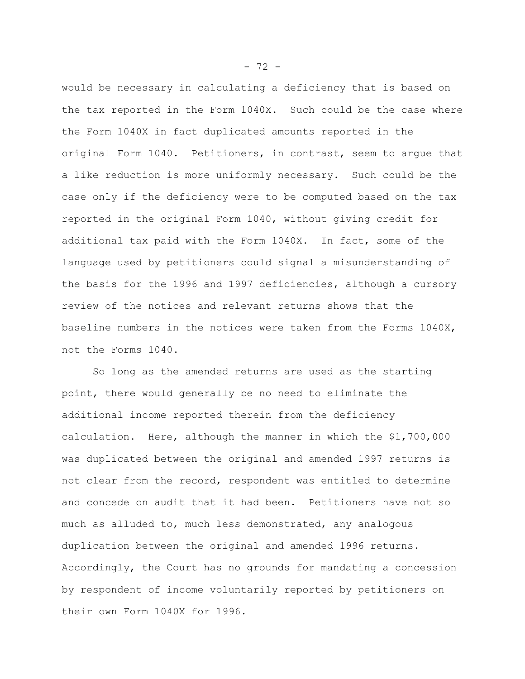would be necessary in calculating a deficiency that is based on the tax reported in the Form 1040X. Such could be the case where the Form 1040X in fact duplicated amounts reported in the original Form 1040. Petitioners, in contrast, seem to argue that a like reduction is more uniformly necessary. Such could be the case only if the deficiency were to be computed based on the tax reported in the original Form 1040, without giving credit for additional tax paid with the Form 1040X. In fact, some of the language used by petitioners could signal a misunderstanding of the basis for the 1996 and 1997 deficiencies, although a cursory review of the notices and relevant returns shows that the baseline numbers in the notices were taken from the Forms 1040X, not the Forms 1040.

So long as the amended returns are used as the starting point, there would generally be no need to eliminate the additional income reported therein from the deficiency calculation. Here, although the manner in which the \$1,700,000 was duplicated between the original and amended 1997 returns is not clear from the record, respondent was entitled to determine and concede on audit that it had been. Petitioners have not so much as alluded to, much less demonstrated, any analogous duplication between the original and amended 1996 returns. Accordingly, the Court has no grounds for mandating a concession by respondent of income voluntarily reported by petitioners on their own Form 1040X for 1996.

 $- 72 -$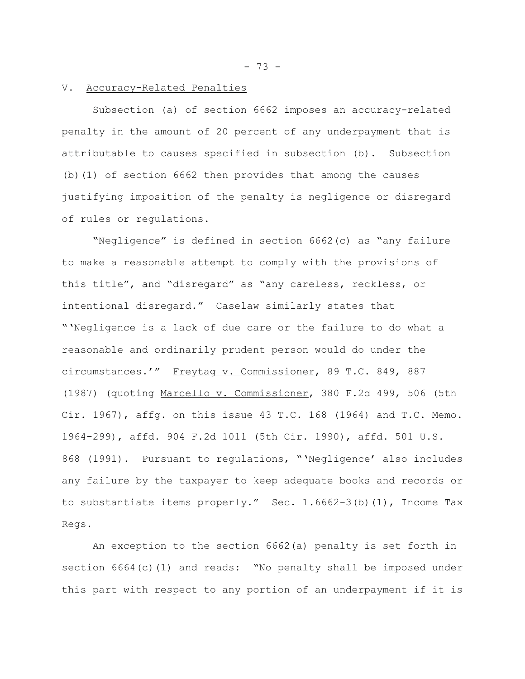$- 73 -$ 

## V. Accuracy-Related Penalties

Subsection (a) of section 6662 imposes an accuracy-related penalty in the amount of 20 percent of any underpayment that is attributable to causes specified in subsection (b). Subsection (b)(1) of section 6662 then provides that among the causes justifying imposition of the penalty is negligence or disregard of rules or regulations.

"Negligence" is defined in section 6662(c) as "any failure to make a reasonable attempt to comply with the provisions of this title", and "disregard" as "any careless, reckless, or intentional disregard." Caselaw similarly states that "'Negligence is a lack of due care or the failure to do what a reasonable and ordinarily prudent person would do under the circumstances.'" Freytag v. Commissioner, 89 T.C. 849, 887 (1987) (quoting Marcello v. Commissioner, 380 F.2d 499, 506 (5th Cir. 1967), affg. on this issue 43 T.C. 168 (1964) and T.C. Memo. 1964-299), affd. 904 F.2d 1011 (5th Cir. 1990), affd. 501 U.S. 868 (1991). Pursuant to regulations, "'Negligence' also includes any failure by the taxpayer to keep adequate books and records or to substantiate items properly." Sec. 1.6662-3(b)(1), Income Tax Regs.

An exception to the section 6662(a) penalty is set forth in section 6664(c)(1) and reads: "No penalty shall be imposed under this part with respect to any portion of an underpayment if it is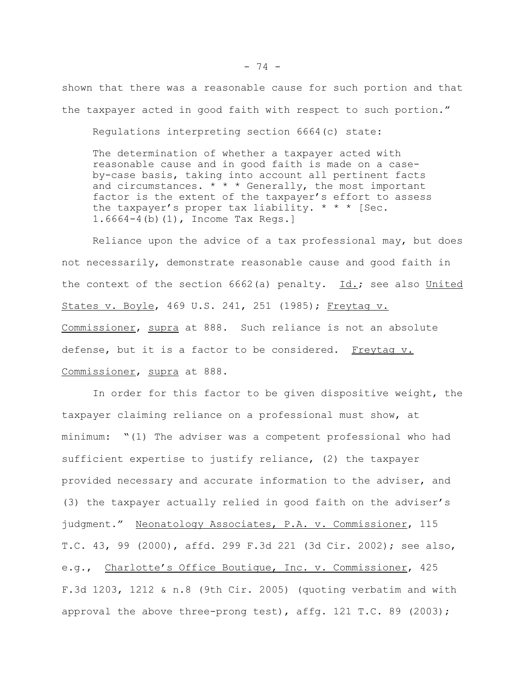shown that there was a reasonable cause for such portion and that the taxpayer acted in good faith with respect to such portion."

Regulations interpreting section 6664(c) state:

The determination of whether a taxpayer acted with reasonable cause and in good faith is made on a caseby-case basis, taking into account all pertinent facts and circumstances.  $* * *$  Generally, the most important factor is the extent of the taxpayer's effort to assess the taxpayer's proper tax liability.  $* * *$  [Sec. 1.6664-4(b)(1), Income Tax Regs.]

Reliance upon the advice of a tax professional may, but does not necessarily, demonstrate reasonable cause and good faith in the context of the section 6662(a) penalty. Id.; see also United States v. Boyle, 469 U.S. 241, 251 (1985); Freytag v. Commissioner, supra at 888. Such reliance is not an absolute defense, but it is a factor to be considered. Freytag v. Commissioner, supra at 888.

In order for this factor to be given dispositive weight, the taxpayer claiming reliance on a professional must show, at minimum: "(1) The adviser was a competent professional who had sufficient expertise to justify reliance, (2) the taxpayer provided necessary and accurate information to the adviser, and (3) the taxpayer actually relied in good faith on the adviser's judgment." Neonatology Associates, P.A. v. Commissioner, 115 T.C. 43, 99 (2000), affd. 299 F.3d 221 (3d Cir. 2002); see also, e.g., Charlotte's Office Boutique, Inc. v. Commissioner, 425 F.3d 1203, 1212 & n.8 (9th Cir. 2005) (quoting verbatim and with approval the above three-prong test), affg. 121 T.C. 89 (2003);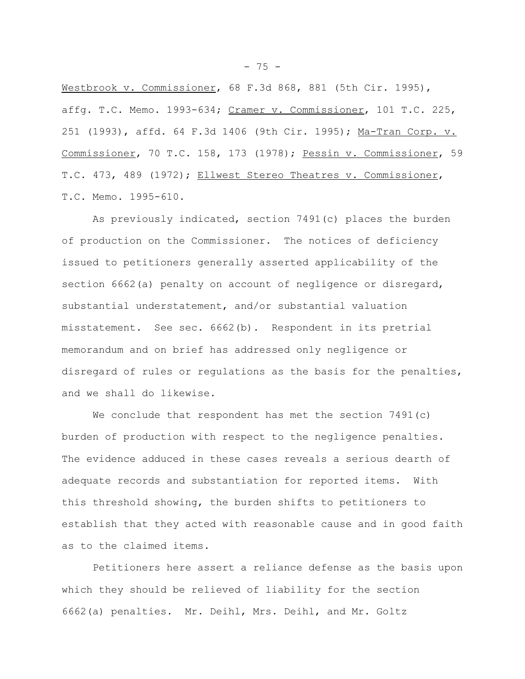Westbrook v. Commissioner, 68 F.3d 868, 881 (5th Cir. 1995), affg. T.C. Memo. 1993-634; Cramer v. Commissioner, 101 T.C. 225, 251 (1993), affd. 64 F.3d 1406 (9th Cir. 1995); Ma-Tran Corp. v. Commissioner, 70 T.C. 158, 173 (1978); Pessin v. Commissioner, 59 T.C. 473, 489 (1972); Ellwest Stereo Theatres v. Commissioner, T.C. Memo. 1995-610.

As previously indicated, section 7491(c) places the burden of production on the Commissioner. The notices of deficiency issued to petitioners generally asserted applicability of the section 6662(a) penalty on account of negligence or disregard, substantial understatement, and/or substantial valuation misstatement. See sec. 6662(b). Respondent in its pretrial memorandum and on brief has addressed only negligence or disregard of rules or regulations as the basis for the penalties, and we shall do likewise.

We conclude that respondent has met the section 7491(c) burden of production with respect to the negligence penalties. The evidence adduced in these cases reveals a serious dearth of adequate records and substantiation for reported items. With this threshold showing, the burden shifts to petitioners to establish that they acted with reasonable cause and in good faith as to the claimed items.

Petitioners here assert a reliance defense as the basis upon which they should be relieved of liability for the section 6662(a) penalties. Mr. Deihl, Mrs. Deihl, and Mr. Goltz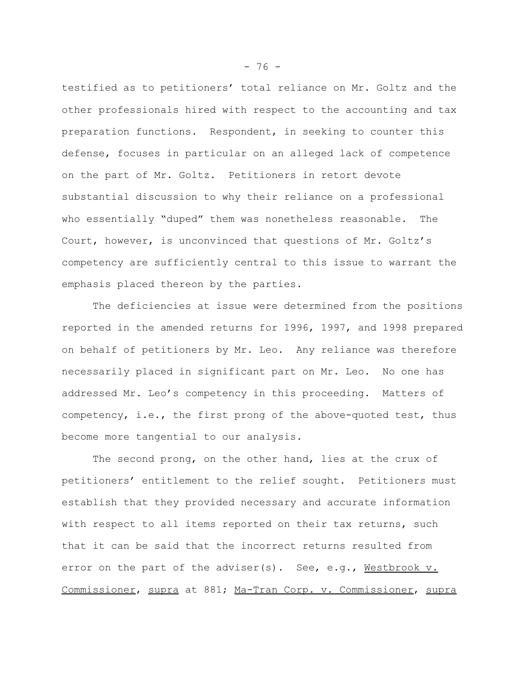testified as to petitioners' total reliance on Mr. Goltz and the other professionals hired with respect to the accounting and tax preparation functions. Respondent, in seeking to counter this defense, focuses in particular on an alleged lack of competence on the part of Mr. Goltz. Petitioners in retort devote substantial discussion to why their reliance on a professional who essentially "duped" them was nonetheless reasonable. The Court, however, is unconvinced that questions of Mr. Goltz's competency are sufficiently central to this issue to warrant the emphasis placed thereon by the parties.

The deficiencies at issue were determined from the positions reported in the amended returns for 1996, 1997, and 1998 prepared on behalf of petitioners by Mr. Leo. Any reliance was therefore necessarily placed in significant part on Mr. Leo. No one has addressed Mr. Leo's competency in this proceeding. Matters of competency, i.e., the first prong of the above-quoted test, thus become more tangential to our analysis.

The second prong, on the other hand, lies at the crux of petitioners' entitlement to the relief sought. Petitioners must establish that they provided necessary and accurate information with respect to all items reported on their tax returns, such that it can be said that the incorrect returns resulted from error on the part of the adviser(s). See, e.g., Westbrook v. Commissioner, supra at 881; Ma-Tran Corp. v. Commissioner, supra

- 76 -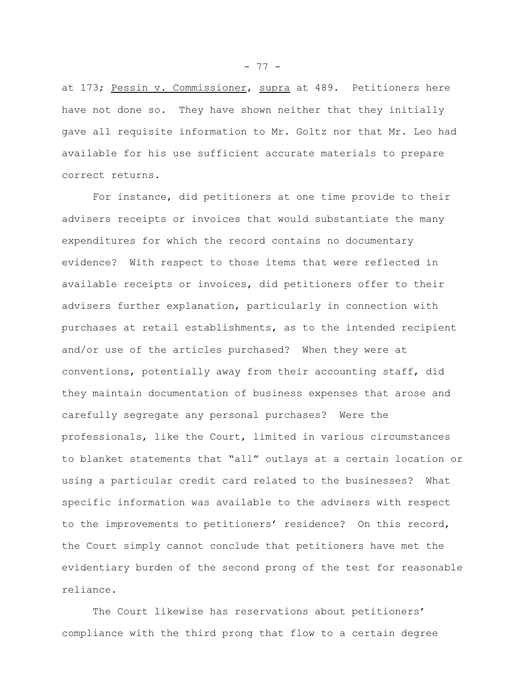at 173; Pessin v. Commissioner, supra at 489. Petitioners here have not done so. They have shown neither that they initially gave all requisite information to Mr. Goltz nor that Mr. Leo had available for his use sufficient accurate materials to prepare correct returns.

For instance, did petitioners at one time provide to their advisers receipts or invoices that would substantiate the many expenditures for which the record contains no documentary evidence? With respect to those items that were reflected in available receipts or invoices, did petitioners offer to their advisers further explanation, particularly in connection with purchases at retail establishments, as to the intended recipient and/or use of the articles purchased? When they were at conventions, potentially away from their accounting staff, did they maintain documentation of business expenses that arose and carefully segregate any personal purchases? Were the professionals, like the Court, limited in various circumstances to blanket statements that "all" outlays at a certain location or using a particular credit card related to the businesses? What specific information was available to the advisers with respect to the improvements to petitioners' residence? On this record, the Court simply cannot conclude that petitioners have met the evidentiary burden of the second prong of the test for reasonable reliance.

The Court likewise has reservations about petitioners' compliance with the third prong that flow to a certain degree

- 77 -